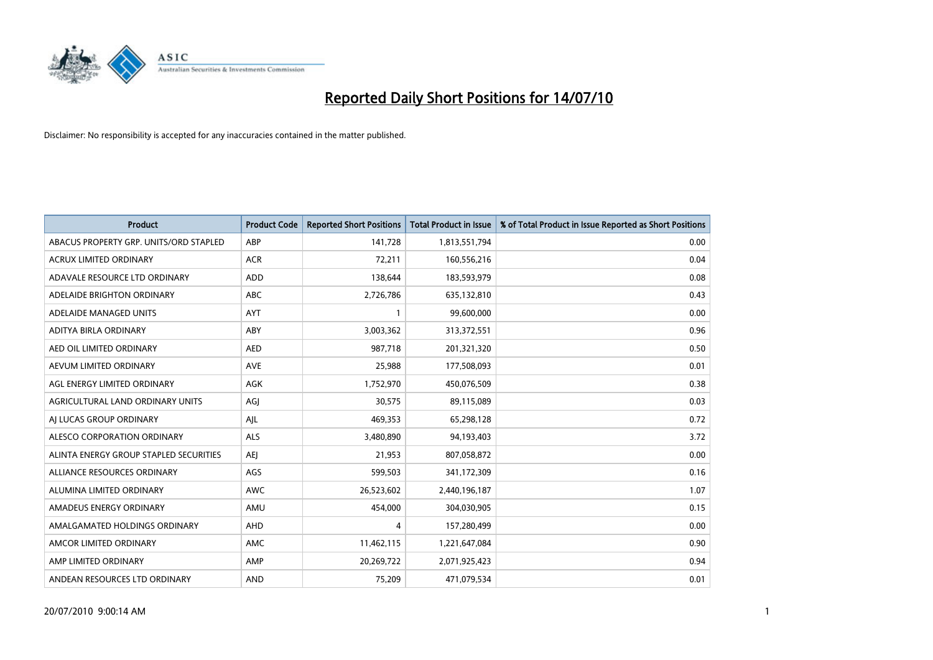

| <b>Product</b>                         | <b>Product Code</b> | <b>Reported Short Positions</b> | <b>Total Product in Issue</b> | % of Total Product in Issue Reported as Short Positions |
|----------------------------------------|---------------------|---------------------------------|-------------------------------|---------------------------------------------------------|
| ABACUS PROPERTY GRP. UNITS/ORD STAPLED | ABP                 | 141,728                         | 1,813,551,794                 | 0.00                                                    |
| <b>ACRUX LIMITED ORDINARY</b>          | <b>ACR</b>          | 72,211                          | 160,556,216                   | 0.04                                                    |
| ADAVALE RESOURCE LTD ORDINARY          | <b>ADD</b>          | 138,644                         | 183,593,979                   | 0.08                                                    |
| ADELAIDE BRIGHTON ORDINARY             | <b>ABC</b>          | 2,726,786                       | 635,132,810                   | 0.43                                                    |
| ADELAIDE MANAGED UNITS                 | <b>AYT</b>          |                                 | 99,600,000                    | 0.00                                                    |
| ADITYA BIRLA ORDINARY                  | ABY                 | 3,003,362                       | 313,372,551                   | 0.96                                                    |
| AED OIL LIMITED ORDINARY               | <b>AED</b>          | 987.718                         | 201,321,320                   | 0.50                                                    |
| AEVUM LIMITED ORDINARY                 | <b>AVE</b>          | 25,988                          | 177,508,093                   | 0.01                                                    |
| AGL ENERGY LIMITED ORDINARY            | <b>AGK</b>          | 1,752,970                       | 450,076,509                   | 0.38                                                    |
| AGRICULTURAL LAND ORDINARY UNITS       | AGJ                 | 30,575                          | 89,115,089                    | 0.03                                                    |
| AI LUCAS GROUP ORDINARY                | AJL                 | 469,353                         | 65,298,128                    | 0.72                                                    |
| ALESCO CORPORATION ORDINARY            | <b>ALS</b>          | 3,480,890                       | 94,193,403                    | 3.72                                                    |
| ALINTA ENERGY GROUP STAPLED SECURITIES | <b>AEI</b>          | 21.953                          | 807,058,872                   | 0.00                                                    |
| ALLIANCE RESOURCES ORDINARY            | AGS                 | 599,503                         | 341,172,309                   | 0.16                                                    |
| ALUMINA LIMITED ORDINARY               | <b>AWC</b>          | 26,523,602                      | 2,440,196,187                 | 1.07                                                    |
| AMADEUS ENERGY ORDINARY                | AMU                 | 454,000                         | 304,030,905                   | 0.15                                                    |
| AMALGAMATED HOLDINGS ORDINARY          | AHD                 | 4                               | 157,280,499                   | 0.00                                                    |
| AMCOR LIMITED ORDINARY                 | AMC                 | 11,462,115                      | 1,221,647,084                 | 0.90                                                    |
| AMP LIMITED ORDINARY                   | AMP                 | 20,269,722                      | 2,071,925,423                 | 0.94                                                    |
| ANDEAN RESOURCES LTD ORDINARY          | <b>AND</b>          | 75,209                          | 471,079,534                   | 0.01                                                    |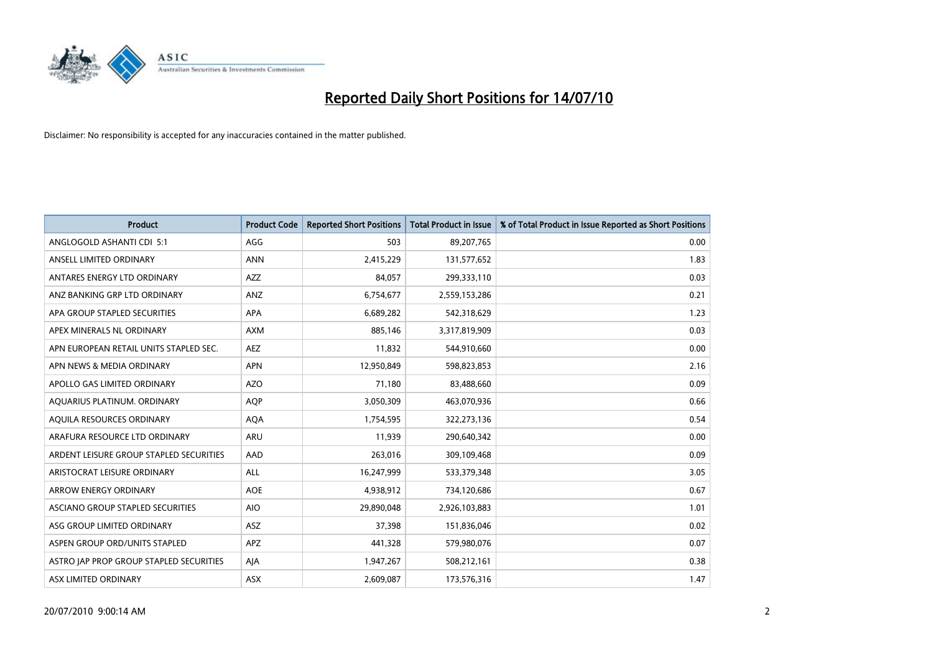

| <b>Product</b>                          | <b>Product Code</b> | <b>Reported Short Positions</b> | Total Product in Issue | % of Total Product in Issue Reported as Short Positions |
|-----------------------------------------|---------------------|---------------------------------|------------------------|---------------------------------------------------------|
| ANGLOGOLD ASHANTI CDI 5:1               | AGG                 | 503                             | 89,207,765             | 0.00                                                    |
| ANSELL LIMITED ORDINARY                 | <b>ANN</b>          | 2,415,229                       | 131,577,652            | 1.83                                                    |
| ANTARES ENERGY LTD ORDINARY             | <b>AZZ</b>          | 84.057                          | 299,333,110            | 0.03                                                    |
| ANZ BANKING GRP LTD ORDINARY            | ANZ                 | 6,754,677                       | 2,559,153,286          | 0.21                                                    |
| APA GROUP STAPLED SECURITIES            | APA                 | 6,689,282                       | 542,318,629            | 1.23                                                    |
| APEX MINERALS NL ORDINARY               | <b>AXM</b>          | 885,146                         | 3,317,819,909          | 0.03                                                    |
| APN EUROPEAN RETAIL UNITS STAPLED SEC.  | <b>AEZ</b>          | 11,832                          | 544,910,660            | 0.00                                                    |
| APN NEWS & MEDIA ORDINARY               | <b>APN</b>          | 12,950,849                      | 598,823,853            | 2.16                                                    |
| APOLLO GAS LIMITED ORDINARY             | <b>AZO</b>          | 71,180                          | 83,488,660             | 0.09                                                    |
| AQUARIUS PLATINUM. ORDINARY             | <b>AOP</b>          | 3,050,309                       | 463,070,936            | 0.66                                                    |
| AQUILA RESOURCES ORDINARY               | <b>AQA</b>          | 1,754,595                       | 322,273,136            | 0.54                                                    |
| ARAFURA RESOURCE LTD ORDINARY           | <b>ARU</b>          | 11,939                          | 290,640,342            | 0.00                                                    |
| ARDENT LEISURE GROUP STAPLED SECURITIES | AAD                 | 263,016                         | 309,109,468            | 0.09                                                    |
| ARISTOCRAT LEISURE ORDINARY             | ALL                 | 16,247,999                      | 533,379,348            | 3.05                                                    |
| <b>ARROW ENERGY ORDINARY</b>            | <b>AOE</b>          | 4,938,912                       | 734,120,686            | 0.67                                                    |
| ASCIANO GROUP STAPLED SECURITIES        | <b>AIO</b>          | 29,890,048                      | 2,926,103,883          | 1.01                                                    |
| ASG GROUP LIMITED ORDINARY              | ASZ                 | 37,398                          | 151,836,046            | 0.02                                                    |
| ASPEN GROUP ORD/UNITS STAPLED           | <b>APZ</b>          | 441,328                         | 579,980,076            | 0.07                                                    |
| ASTRO JAP PROP GROUP STAPLED SECURITIES | AJA                 | 1,947,267                       | 508,212,161            | 0.38                                                    |
| ASX LIMITED ORDINARY                    | ASX                 | 2,609,087                       | 173,576,316            | 1.47                                                    |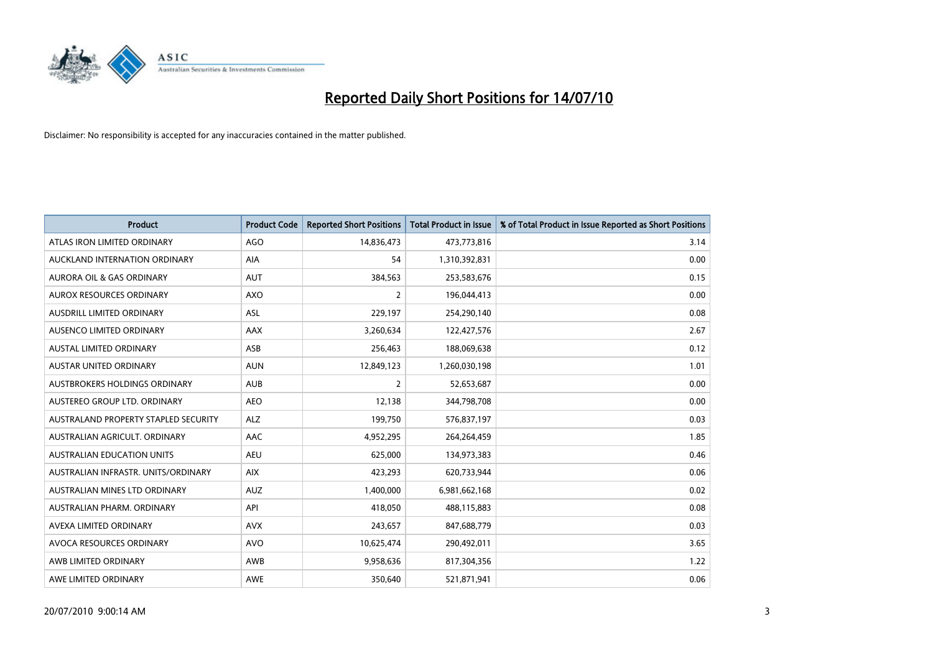

| <b>Product</b>                       | <b>Product Code</b> | <b>Reported Short Positions</b> | <b>Total Product in Issue</b> | % of Total Product in Issue Reported as Short Positions |
|--------------------------------------|---------------------|---------------------------------|-------------------------------|---------------------------------------------------------|
| ATLAS IRON LIMITED ORDINARY          | <b>AGO</b>          | 14,836,473                      | 473,773,816                   | 3.14                                                    |
| AUCKLAND INTERNATION ORDINARY        | AIA                 | 54                              | 1,310,392,831                 | 0.00                                                    |
| <b>AURORA OIL &amp; GAS ORDINARY</b> | <b>AUT</b>          | 384,563                         | 253,583,676                   | 0.15                                                    |
| AUROX RESOURCES ORDINARY             | <b>AXO</b>          | $\overline{2}$                  | 196,044,413                   | 0.00                                                    |
| <b>AUSDRILL LIMITED ORDINARY</b>     | ASL                 | 229,197                         | 254,290,140                   | 0.08                                                    |
| AUSENCO LIMITED ORDINARY             | AAX                 | 3,260,634                       | 122,427,576                   | 2.67                                                    |
| <b>AUSTAL LIMITED ORDINARY</b>       | ASB                 | 256,463                         | 188,069,638                   | 0.12                                                    |
| AUSTAR UNITED ORDINARY               | <b>AUN</b>          | 12,849,123                      | 1,260,030,198                 | 1.01                                                    |
| AUSTBROKERS HOLDINGS ORDINARY        | <b>AUB</b>          | 2                               | 52,653,687                    | 0.00                                                    |
| AUSTEREO GROUP LTD. ORDINARY         | <b>AEO</b>          | 12,138                          | 344,798,708                   | 0.00                                                    |
| AUSTRALAND PROPERTY STAPLED SECURITY | <b>ALZ</b>          | 199,750                         | 576,837,197                   | 0.03                                                    |
| AUSTRALIAN AGRICULT, ORDINARY        | AAC                 | 4,952,295                       | 264,264,459                   | 1.85                                                    |
| AUSTRALIAN EDUCATION UNITS           | <b>AEU</b>          | 625,000                         | 134,973,383                   | 0.46                                                    |
| AUSTRALIAN INFRASTR, UNITS/ORDINARY  | <b>AIX</b>          | 423,293                         | 620,733,944                   | 0.06                                                    |
| AUSTRALIAN MINES LTD ORDINARY        | <b>AUZ</b>          | 1,400,000                       | 6,981,662,168                 | 0.02                                                    |
| AUSTRALIAN PHARM. ORDINARY           | API                 | 418,050                         | 488,115,883                   | 0.08                                                    |
| AVEXA LIMITED ORDINARY               | <b>AVX</b>          | 243,657                         | 847,688,779                   | 0.03                                                    |
| AVOCA RESOURCES ORDINARY             | <b>AVO</b>          | 10,625,474                      | 290,492,011                   | 3.65                                                    |
| AWB LIMITED ORDINARY                 | AWB                 | 9,958,636                       | 817,304,356                   | 1.22                                                    |
| AWE LIMITED ORDINARY                 | AWE                 | 350,640                         | 521,871,941                   | 0.06                                                    |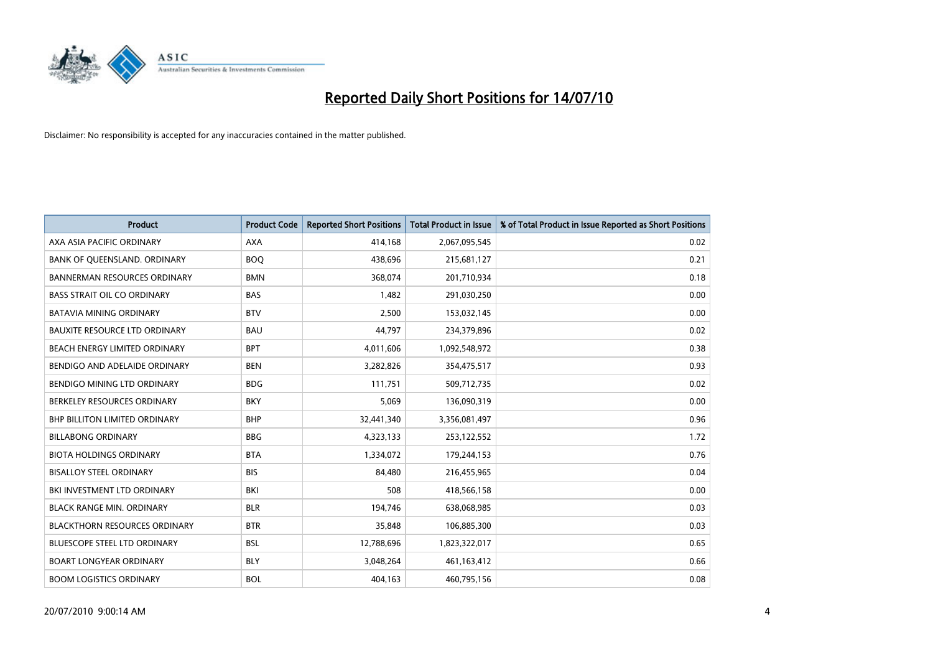

| <b>Product</b>                       | <b>Product Code</b> | <b>Reported Short Positions</b> | <b>Total Product in Issue</b> | % of Total Product in Issue Reported as Short Positions |
|--------------------------------------|---------------------|---------------------------------|-------------------------------|---------------------------------------------------------|
| AXA ASIA PACIFIC ORDINARY            | <b>AXA</b>          | 414,168                         | 2,067,095,545                 | 0.02                                                    |
| BANK OF QUEENSLAND. ORDINARY         | <b>BOO</b>          | 438,696                         | 215,681,127                   | 0.21                                                    |
| <b>BANNERMAN RESOURCES ORDINARY</b>  | <b>BMN</b>          | 368,074                         | 201,710,934                   | 0.18                                                    |
| <b>BASS STRAIT OIL CO ORDINARY</b>   | <b>BAS</b>          | 1,482                           | 291,030,250                   | 0.00                                                    |
| <b>BATAVIA MINING ORDINARY</b>       | <b>BTV</b>          | 2,500                           | 153,032,145                   | 0.00                                                    |
| <b>BAUXITE RESOURCE LTD ORDINARY</b> | <b>BAU</b>          | 44,797                          | 234,379,896                   | 0.02                                                    |
| BEACH ENERGY LIMITED ORDINARY        | <b>BPT</b>          | 4,011,606                       | 1,092,548,972                 | 0.38                                                    |
| BENDIGO AND ADELAIDE ORDINARY        | <b>BEN</b>          | 3,282,826                       | 354,475,517                   | 0.93                                                    |
| BENDIGO MINING LTD ORDINARY          | <b>BDG</b>          | 111.751                         | 509,712,735                   | 0.02                                                    |
| BERKELEY RESOURCES ORDINARY          | <b>BKY</b>          | 5,069                           | 136,090,319                   | 0.00                                                    |
| BHP BILLITON LIMITED ORDINARY        | <b>BHP</b>          | 32,441,340                      | 3,356,081,497                 | 0.96                                                    |
| <b>BILLABONG ORDINARY</b>            | <b>BBG</b>          | 4,323,133                       | 253,122,552                   | 1.72                                                    |
| <b>BIOTA HOLDINGS ORDINARY</b>       | <b>BTA</b>          | 1,334,072                       | 179,244,153                   | 0.76                                                    |
| <b>BISALLOY STEEL ORDINARY</b>       | <b>BIS</b>          | 84,480                          | 216,455,965                   | 0.04                                                    |
| BKI INVESTMENT LTD ORDINARY          | <b>BKI</b>          | 508                             | 418,566,158                   | 0.00                                                    |
| <b>BLACK RANGE MIN. ORDINARY</b>     | <b>BLR</b>          | 194,746                         | 638,068,985                   | 0.03                                                    |
| <b>BLACKTHORN RESOURCES ORDINARY</b> | <b>BTR</b>          | 35,848                          | 106,885,300                   | 0.03                                                    |
| BLUESCOPE STEEL LTD ORDINARY         | <b>BSL</b>          | 12,788,696                      | 1,823,322,017                 | 0.65                                                    |
| <b>BOART LONGYEAR ORDINARY</b>       | <b>BLY</b>          | 3,048,264                       | 461,163,412                   | 0.66                                                    |
| <b>BOOM LOGISTICS ORDINARY</b>       | <b>BOL</b>          | 404,163                         | 460,795,156                   | 0.08                                                    |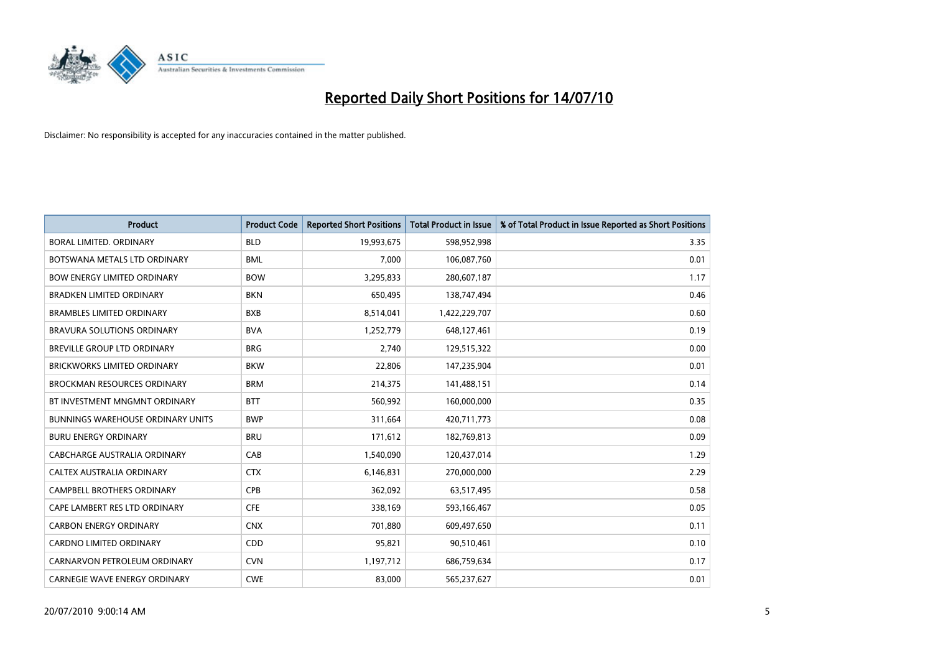

| <b>Product</b>                           | <b>Product Code</b> | <b>Reported Short Positions</b> | <b>Total Product in Issue</b> | % of Total Product in Issue Reported as Short Positions |
|------------------------------------------|---------------------|---------------------------------|-------------------------------|---------------------------------------------------------|
| <b>BORAL LIMITED, ORDINARY</b>           | <b>BLD</b>          | 19,993,675                      | 598,952,998                   | 3.35                                                    |
| BOTSWANA METALS LTD ORDINARY             | <b>BML</b>          | 7.000                           | 106,087,760                   | 0.01                                                    |
| <b>BOW ENERGY LIMITED ORDINARY</b>       | <b>BOW</b>          | 3,295,833                       | 280,607,187                   | 1.17                                                    |
| <b>BRADKEN LIMITED ORDINARY</b>          | <b>BKN</b>          | 650,495                         | 138,747,494                   | 0.46                                                    |
| <b>BRAMBLES LIMITED ORDINARY</b>         | <b>BXB</b>          | 8,514,041                       | 1,422,229,707                 | 0.60                                                    |
| BRAVURA SOLUTIONS ORDINARY               | <b>BVA</b>          | 1,252,779                       | 648,127,461                   | 0.19                                                    |
| <b>BREVILLE GROUP LTD ORDINARY</b>       | <b>BRG</b>          | 2,740                           | 129,515,322                   | 0.00                                                    |
| <b>BRICKWORKS LIMITED ORDINARY</b>       | <b>BKW</b>          | 22.806                          | 147,235,904                   | 0.01                                                    |
| <b>BROCKMAN RESOURCES ORDINARY</b>       | <b>BRM</b>          | 214,375                         | 141,488,151                   | 0.14                                                    |
| BT INVESTMENT MNGMNT ORDINARY            | <b>BTT</b>          | 560,992                         | 160,000,000                   | 0.35                                                    |
| <b>BUNNINGS WAREHOUSE ORDINARY UNITS</b> | <b>BWP</b>          | 311,664                         | 420,711,773                   | 0.08                                                    |
| <b>BURU ENERGY ORDINARY</b>              | <b>BRU</b>          | 171,612                         | 182,769,813                   | 0.09                                                    |
| CABCHARGE AUSTRALIA ORDINARY             | CAB                 | 1,540,090                       | 120,437,014                   | 1.29                                                    |
| CALTEX AUSTRALIA ORDINARY                | <b>CTX</b>          | 6,146,831                       | 270,000,000                   | 2.29                                                    |
| <b>CAMPBELL BROTHERS ORDINARY</b>        | <b>CPB</b>          | 362,092                         | 63,517,495                    | 0.58                                                    |
| CAPE LAMBERT RES LTD ORDINARY            | <b>CFE</b>          | 338,169                         | 593,166,467                   | 0.05                                                    |
| <b>CARBON ENERGY ORDINARY</b>            | <b>CNX</b>          | 701,880                         | 609,497,650                   | 0.11                                                    |
| <b>CARDNO LIMITED ORDINARY</b>           | CDD                 | 95,821                          | 90,510,461                    | 0.10                                                    |
| CARNARVON PETROLEUM ORDINARY             | <b>CVN</b>          | 1,197,712                       | 686,759,634                   | 0.17                                                    |
| <b>CARNEGIE WAVE ENERGY ORDINARY</b>     | <b>CWE</b>          | 83,000                          | 565,237,627                   | 0.01                                                    |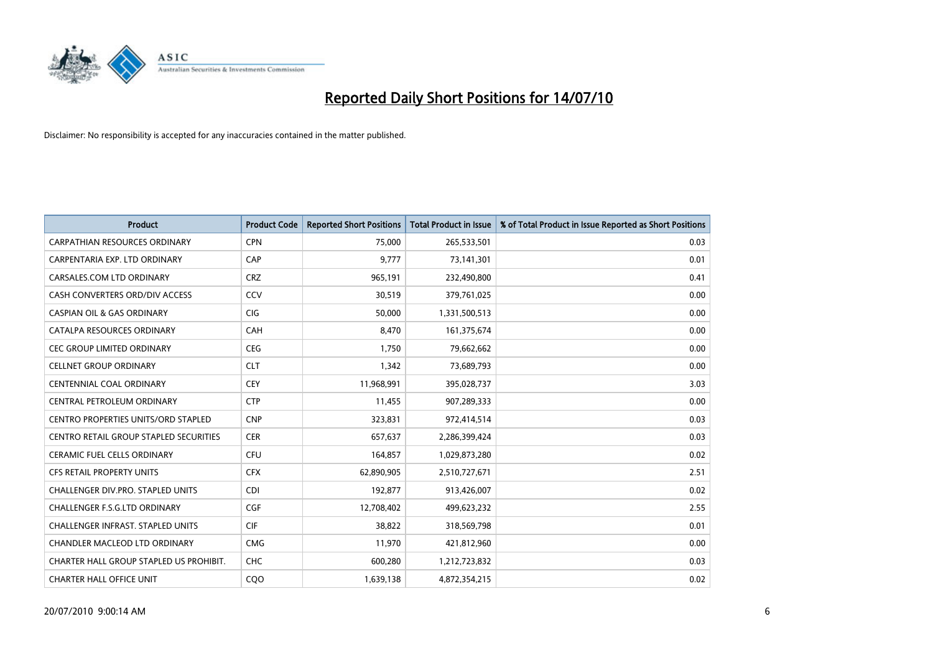

| <b>Product</b>                                | <b>Product Code</b> | <b>Reported Short Positions</b> | Total Product in Issue | % of Total Product in Issue Reported as Short Positions |
|-----------------------------------------------|---------------------|---------------------------------|------------------------|---------------------------------------------------------|
| <b>CARPATHIAN RESOURCES ORDINARY</b>          | <b>CPN</b>          | 75,000                          | 265,533,501            | 0.03                                                    |
| CARPENTARIA EXP. LTD ORDINARY                 | CAP                 | 9,777                           | 73,141,301             | 0.01                                                    |
| CARSALES.COM LTD ORDINARY                     | <b>CRZ</b>          | 965,191                         | 232,490,800            | 0.41                                                    |
| CASH CONVERTERS ORD/DIV ACCESS                | CCV                 | 30,519                          | 379,761,025            | 0.00                                                    |
| <b>CASPIAN OIL &amp; GAS ORDINARY</b>         | <b>CIG</b>          | 50,000                          | 1,331,500,513          | 0.00                                                    |
| CATALPA RESOURCES ORDINARY                    | CAH                 | 8,470                           | 161,375,674            | 0.00                                                    |
| <b>CEC GROUP LIMITED ORDINARY</b>             | <b>CEG</b>          | 1.750                           | 79,662,662             | 0.00                                                    |
| <b>CELLNET GROUP ORDINARY</b>                 | <b>CLT</b>          | 1,342                           | 73,689,793             | 0.00                                                    |
| CENTENNIAL COAL ORDINARY                      | <b>CEY</b>          | 11,968,991                      | 395,028,737            | 3.03                                                    |
| CENTRAL PETROLEUM ORDINARY                    | <b>CTP</b>          | 11,455                          | 907,289,333            | 0.00                                                    |
| <b>CENTRO PROPERTIES UNITS/ORD STAPLED</b>    | <b>CNP</b>          | 323,831                         | 972,414,514            | 0.03                                                    |
| <b>CENTRO RETAIL GROUP STAPLED SECURITIES</b> | <b>CER</b>          | 657,637                         | 2,286,399,424          | 0.03                                                    |
| CERAMIC FUEL CELLS ORDINARY                   | <b>CFU</b>          | 164,857                         | 1,029,873,280          | 0.02                                                    |
| <b>CFS RETAIL PROPERTY UNITS</b>              | <b>CFX</b>          | 62,890,905                      | 2,510,727,671          | 2.51                                                    |
| <b>CHALLENGER DIV.PRO. STAPLED UNITS</b>      | <b>CDI</b>          | 192,877                         | 913,426,007            | 0.02                                                    |
| CHALLENGER F.S.G.LTD ORDINARY                 | CGF                 | 12,708,402                      | 499,623,232            | 2.55                                                    |
| <b>CHALLENGER INFRAST, STAPLED UNITS</b>      | <b>CIF</b>          | 38,822                          | 318,569,798            | 0.01                                                    |
| CHANDLER MACLEOD LTD ORDINARY                 | <b>CMG</b>          | 11,970                          | 421,812,960            | 0.00                                                    |
| CHARTER HALL GROUP STAPLED US PROHIBIT.       | <b>CHC</b>          | 600,280                         | 1,212,723,832          | 0.03                                                    |
| <b>CHARTER HALL OFFICE UNIT</b>               | COO                 | 1,639,138                       | 4,872,354,215          | 0.02                                                    |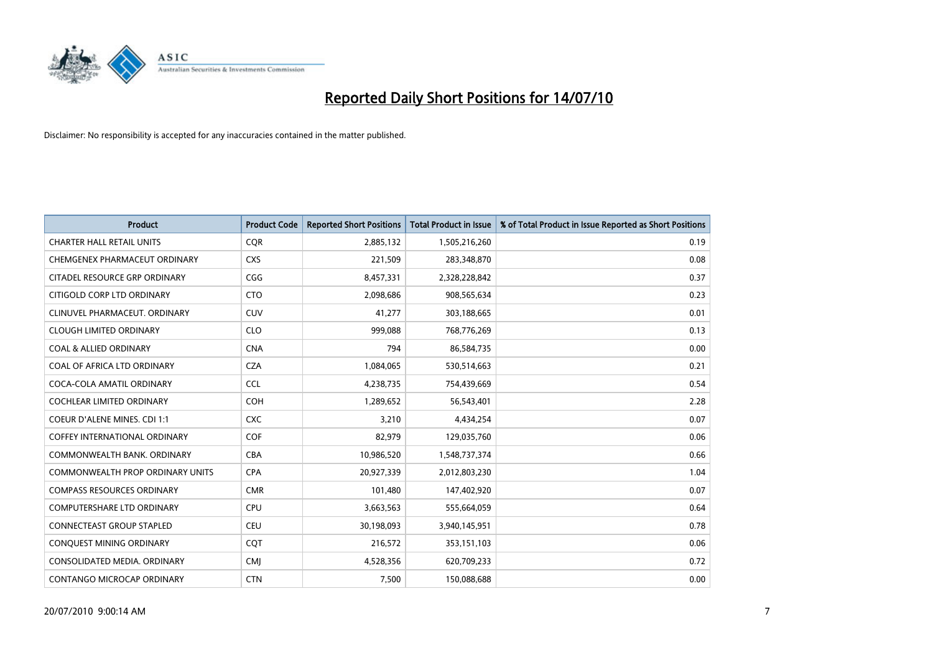

| <b>Product</b>                          | <b>Product Code</b> | <b>Reported Short Positions</b> | <b>Total Product in Issue</b> | % of Total Product in Issue Reported as Short Positions |
|-----------------------------------------|---------------------|---------------------------------|-------------------------------|---------------------------------------------------------|
| <b>CHARTER HALL RETAIL UNITS</b>        | <b>CQR</b>          | 2,885,132                       | 1,505,216,260                 | 0.19                                                    |
| CHEMGENEX PHARMACEUT ORDINARY           | <b>CXS</b>          | 221,509                         | 283,348,870                   | 0.08                                                    |
| CITADEL RESOURCE GRP ORDINARY           | CGG                 | 8,457,331                       | 2,328,228,842                 | 0.37                                                    |
| CITIGOLD CORP LTD ORDINARY              | <b>CTO</b>          | 2,098,686                       | 908,565,634                   | 0.23                                                    |
| CLINUVEL PHARMACEUT, ORDINARY           | <b>CUV</b>          | 41,277                          | 303,188,665                   | 0.01                                                    |
| <b>CLOUGH LIMITED ORDINARY</b>          | <b>CLO</b>          | 999.088                         | 768,776,269                   | 0.13                                                    |
| <b>COAL &amp; ALLIED ORDINARY</b>       | <b>CNA</b>          | 794                             | 86,584,735                    | 0.00                                                    |
| COAL OF AFRICA LTD ORDINARY             | <b>CZA</b>          | 1,084,065                       | 530,514,663                   | 0.21                                                    |
| COCA-COLA AMATIL ORDINARY               | <b>CCL</b>          | 4,238,735                       | 754,439,669                   | 0.54                                                    |
| <b>COCHLEAR LIMITED ORDINARY</b>        | COH                 | 1,289,652                       | 56,543,401                    | 2.28                                                    |
| <b>COEUR D'ALENE MINES. CDI 1:1</b>     | <b>CXC</b>          | 3,210                           | 4,434,254                     | 0.07                                                    |
| <b>COFFEY INTERNATIONAL ORDINARY</b>    | <b>COF</b>          | 82,979                          | 129,035,760                   | 0.06                                                    |
| COMMONWEALTH BANK, ORDINARY             | <b>CBA</b>          | 10,986,520                      | 1,548,737,374                 | 0.66                                                    |
| <b>COMMONWEALTH PROP ORDINARY UNITS</b> | <b>CPA</b>          | 20,927,339                      | 2,012,803,230                 | 1.04                                                    |
| <b>COMPASS RESOURCES ORDINARY</b>       | <b>CMR</b>          | 101,480                         | 147,402,920                   | 0.07                                                    |
| <b>COMPUTERSHARE LTD ORDINARY</b>       | CPU                 | 3,663,563                       | 555,664,059                   | 0.64                                                    |
| <b>CONNECTEAST GROUP STAPLED</b>        | <b>CEU</b>          | 30,198,093                      | 3,940,145,951                 | 0.78                                                    |
| CONQUEST MINING ORDINARY                | CQT                 | 216,572                         | 353,151,103                   | 0.06                                                    |
| CONSOLIDATED MEDIA, ORDINARY            | <b>CMI</b>          | 4,528,356                       | 620,709,233                   | 0.72                                                    |
| CONTANGO MICROCAP ORDINARY              | <b>CTN</b>          | 7,500                           | 150,088,688                   | 0.00                                                    |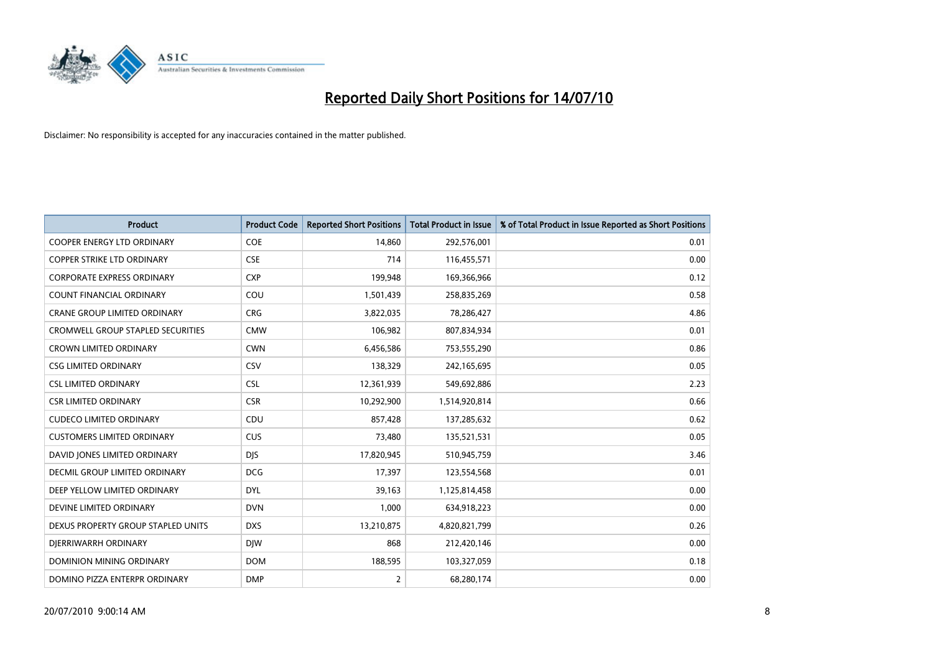

| <b>Product</b>                           | <b>Product Code</b> | <b>Reported Short Positions</b> | <b>Total Product in Issue</b> | % of Total Product in Issue Reported as Short Positions |
|------------------------------------------|---------------------|---------------------------------|-------------------------------|---------------------------------------------------------|
| <b>COOPER ENERGY LTD ORDINARY</b>        | <b>COE</b>          | 14.860                          | 292,576,001                   | 0.01                                                    |
| <b>COPPER STRIKE LTD ORDINARY</b>        | <b>CSE</b>          | 714                             | 116,455,571                   | 0.00                                                    |
| <b>CORPORATE EXPRESS ORDINARY</b>        | <b>CXP</b>          | 199,948                         | 169,366,966                   | 0.12                                                    |
| COUNT FINANCIAL ORDINARY                 | COU                 | 1,501,439                       | 258,835,269                   | 0.58                                                    |
| <b>CRANE GROUP LIMITED ORDINARY</b>      | <b>CRG</b>          | 3,822,035                       | 78,286,427                    | 4.86                                                    |
| <b>CROMWELL GROUP STAPLED SECURITIES</b> | <b>CMW</b>          | 106,982                         | 807,834,934                   | 0.01                                                    |
| <b>CROWN LIMITED ORDINARY</b>            | <b>CWN</b>          | 6,456,586                       | 753,555,290                   | 0.86                                                    |
| <b>CSG LIMITED ORDINARY</b>              | CSV                 | 138,329                         | 242,165,695                   | 0.05                                                    |
| <b>CSL LIMITED ORDINARY</b>              | <b>CSL</b>          | 12,361,939                      | 549,692,886                   | 2.23                                                    |
| <b>CSR LIMITED ORDINARY</b>              | <b>CSR</b>          | 10,292,900                      | 1,514,920,814                 | 0.66                                                    |
| <b>CUDECO LIMITED ORDINARY</b>           | CDU                 | 857,428                         | 137,285,632                   | 0.62                                                    |
| <b>CUSTOMERS LIMITED ORDINARY</b>        | CUS                 | 73,480                          | 135,521,531                   | 0.05                                                    |
| DAVID JONES LIMITED ORDINARY             | <b>DJS</b>          | 17,820,945                      | 510,945,759                   | 3.46                                                    |
| DECMIL GROUP LIMITED ORDINARY            | <b>DCG</b>          | 17,397                          | 123,554,568                   | 0.01                                                    |
| DEEP YELLOW LIMITED ORDINARY             | <b>DYL</b>          | 39,163                          | 1,125,814,458                 | 0.00                                                    |
| DEVINE LIMITED ORDINARY                  | <b>DVN</b>          | 1,000                           | 634,918,223                   | 0.00                                                    |
| DEXUS PROPERTY GROUP STAPLED UNITS       | <b>DXS</b>          | 13,210,875                      | 4,820,821,799                 | 0.26                                                    |
| DIERRIWARRH ORDINARY                     | <b>DIW</b>          | 868                             | 212,420,146                   | 0.00                                                    |
| DOMINION MINING ORDINARY                 | <b>DOM</b>          | 188,595                         | 103,327,059                   | 0.18                                                    |
| DOMINO PIZZA ENTERPR ORDINARY            | <b>DMP</b>          | 2                               | 68,280,174                    | 0.00                                                    |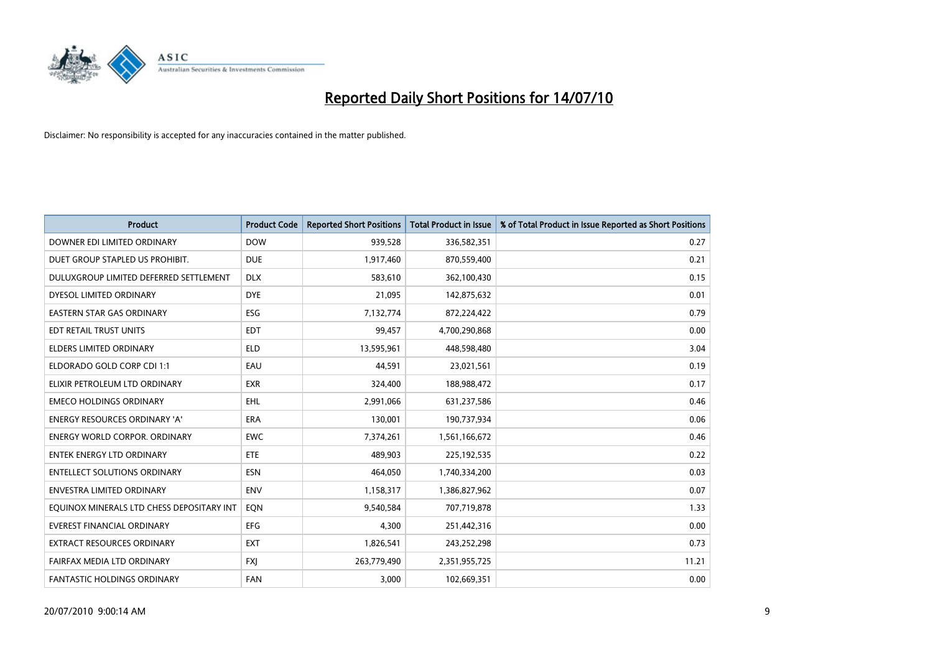

| <b>Product</b>                            | <b>Product Code</b> | <b>Reported Short Positions</b> | <b>Total Product in Issue</b> | % of Total Product in Issue Reported as Short Positions |
|-------------------------------------------|---------------------|---------------------------------|-------------------------------|---------------------------------------------------------|
| DOWNER EDI LIMITED ORDINARY               | <b>DOW</b>          | 939,528                         | 336,582,351                   | 0.27                                                    |
| DUET GROUP STAPLED US PROHIBIT.           | <b>DUE</b>          | 1,917,460                       | 870,559,400                   | 0.21                                                    |
| DULUXGROUP LIMITED DEFERRED SETTLEMENT    | <b>DLX</b>          | 583,610                         | 362,100,430                   | 0.15                                                    |
| DYESOL LIMITED ORDINARY                   | <b>DYE</b>          | 21,095                          | 142,875,632                   | 0.01                                                    |
| <b>EASTERN STAR GAS ORDINARY</b>          | ESG                 | 7,132,774                       | 872,224,422                   | 0.79                                                    |
| EDT RETAIL TRUST UNITS                    | <b>EDT</b>          | 99,457                          | 4,700,290,868                 | 0.00                                                    |
| <b>ELDERS LIMITED ORDINARY</b>            | <b>ELD</b>          | 13,595,961                      | 448,598,480                   | 3.04                                                    |
| ELDORADO GOLD CORP CDI 1:1                | EAU                 | 44,591                          | 23,021,561                    | 0.19                                                    |
| ELIXIR PETROLEUM LTD ORDINARY             | <b>EXR</b>          | 324,400                         | 188,988,472                   | 0.17                                                    |
| <b>EMECO HOLDINGS ORDINARY</b>            | <b>EHL</b>          | 2,991,066                       | 631,237,586                   | 0.46                                                    |
| <b>ENERGY RESOURCES ORDINARY 'A'</b>      | <b>ERA</b>          | 130,001                         | 190,737,934                   | 0.06                                                    |
| <b>ENERGY WORLD CORPOR, ORDINARY</b>      | <b>EWC</b>          | 7,374,261                       | 1,561,166,672                 | 0.46                                                    |
| <b>ENTEK ENERGY LTD ORDINARY</b>          | ETE                 | 489.903                         | 225,192,535                   | 0.22                                                    |
| <b>ENTELLECT SOLUTIONS ORDINARY</b>       | <b>ESN</b>          | 464.050                         | 1,740,334,200                 | 0.03                                                    |
| ENVESTRA LIMITED ORDINARY                 | <b>ENV</b>          | 1,158,317                       | 1,386,827,962                 | 0.07                                                    |
| EQUINOX MINERALS LTD CHESS DEPOSITARY INT | EON                 | 9,540,584                       | 707,719,878                   | 1.33                                                    |
| <b>EVEREST FINANCIAL ORDINARY</b>         | <b>EFG</b>          | 4,300                           | 251,442,316                   | 0.00                                                    |
| EXTRACT RESOURCES ORDINARY                | <b>EXT</b>          | 1,826,541                       | 243,252,298                   | 0.73                                                    |
| FAIRFAX MEDIA LTD ORDINARY                | <b>FXI</b>          | 263,779,490                     | 2,351,955,725                 | 11.21                                                   |
| <b>FANTASTIC HOLDINGS ORDINARY</b>        | <b>FAN</b>          | 3.000                           | 102,669,351                   | 0.00                                                    |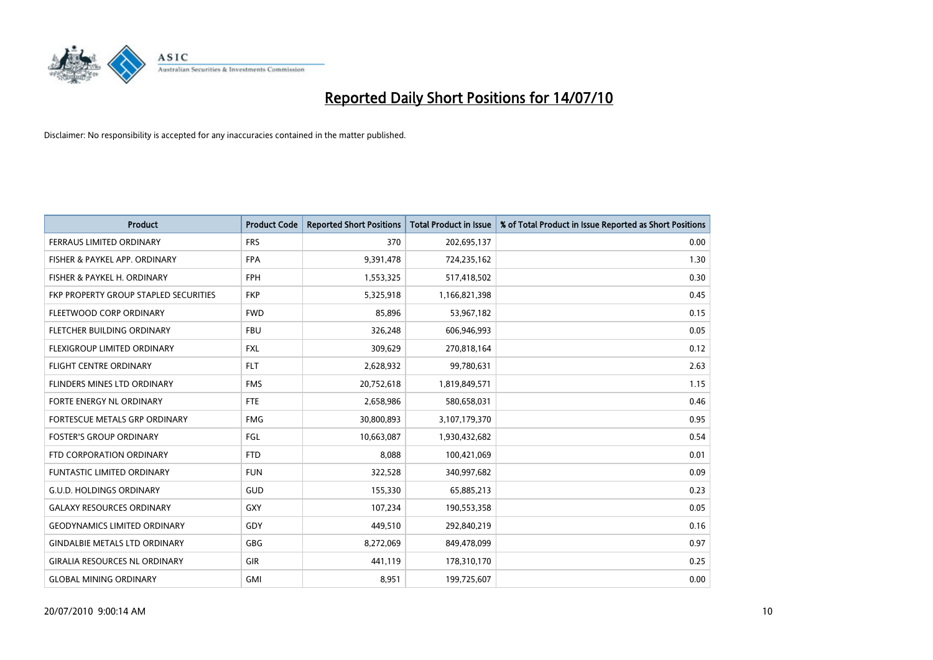

| <b>Product</b>                        | <b>Product Code</b> | <b>Reported Short Positions</b> | <b>Total Product in Issue</b> | % of Total Product in Issue Reported as Short Positions |
|---------------------------------------|---------------------|---------------------------------|-------------------------------|---------------------------------------------------------|
| <b>FERRAUS LIMITED ORDINARY</b>       | <b>FRS</b>          | 370                             | 202,695,137                   | 0.00                                                    |
| FISHER & PAYKEL APP. ORDINARY         | <b>FPA</b>          | 9,391,478                       | 724,235,162                   | 1.30                                                    |
| FISHER & PAYKEL H. ORDINARY           | <b>FPH</b>          | 1,553,325                       | 517,418,502                   | 0.30                                                    |
| FKP PROPERTY GROUP STAPLED SECURITIES | <b>FKP</b>          | 5,325,918                       | 1,166,821,398                 | 0.45                                                    |
| FLEETWOOD CORP ORDINARY               | <b>FWD</b>          | 85,896                          | 53,967,182                    | 0.15                                                    |
| FLETCHER BUILDING ORDINARY            | <b>FBU</b>          | 326,248                         | 606,946,993                   | 0.05                                                    |
| <b>FLEXIGROUP LIMITED ORDINARY</b>    | <b>FXL</b>          | 309,629                         | 270,818,164                   | 0.12                                                    |
| FLIGHT CENTRE ORDINARY                | <b>FLT</b>          | 2,628,932                       | 99,780,631                    | 2.63                                                    |
| FLINDERS MINES LTD ORDINARY           | <b>FMS</b>          | 20,752,618                      | 1,819,849,571                 | 1.15                                                    |
| <b>FORTE ENERGY NL ORDINARY</b>       | <b>FTE</b>          | 2,658,986                       | 580,658,031                   | 0.46                                                    |
| FORTESCUE METALS GRP ORDINARY         | <b>FMG</b>          | 30,800,893                      | 3,107,179,370                 | 0.95                                                    |
| <b>FOSTER'S GROUP ORDINARY</b>        | FGL                 | 10,663,087                      | 1,930,432,682                 | 0.54                                                    |
| FTD CORPORATION ORDINARY              | <b>FTD</b>          | 8,088                           | 100,421,069                   | 0.01                                                    |
| <b>FUNTASTIC LIMITED ORDINARY</b>     | <b>FUN</b>          | 322,528                         | 340,997,682                   | 0.09                                                    |
| <b>G.U.D. HOLDINGS ORDINARY</b>       | <b>GUD</b>          | 155,330                         | 65,885,213                    | 0.23                                                    |
| <b>GALAXY RESOURCES ORDINARY</b>      | <b>GXY</b>          | 107,234                         | 190,553,358                   | 0.05                                                    |
| <b>GEODYNAMICS LIMITED ORDINARY</b>   | GDY                 | 449,510                         | 292,840,219                   | 0.16                                                    |
| <b>GINDALBIE METALS LTD ORDINARY</b>  | <b>GBG</b>          | 8,272,069                       | 849,478,099                   | 0.97                                                    |
| <b>GIRALIA RESOURCES NL ORDINARY</b>  | <b>GIR</b>          | 441,119                         | 178,310,170                   | 0.25                                                    |
| <b>GLOBAL MINING ORDINARY</b>         | <b>GMI</b>          | 8,951                           | 199,725,607                   | 0.00                                                    |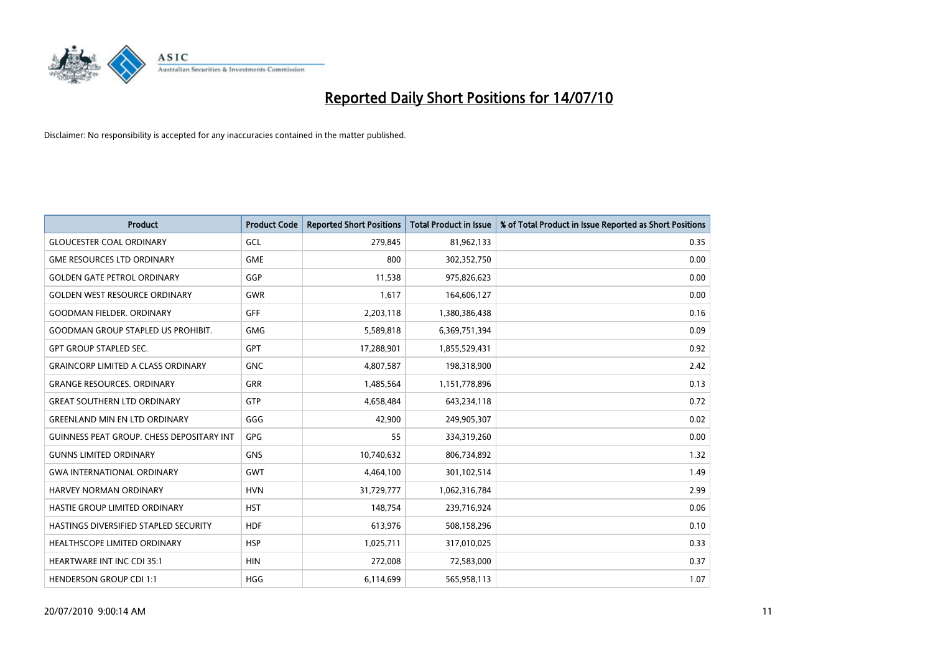

| <b>Product</b>                                   | <b>Product Code</b> | <b>Reported Short Positions</b> | <b>Total Product in Issue</b> | % of Total Product in Issue Reported as Short Positions |
|--------------------------------------------------|---------------------|---------------------------------|-------------------------------|---------------------------------------------------------|
| <b>GLOUCESTER COAL ORDINARY</b>                  | GCL                 | 279,845                         | 81,962,133                    | 0.35                                                    |
| <b>GME RESOURCES LTD ORDINARY</b>                | <b>GME</b>          | 800                             | 302,352,750                   | 0.00                                                    |
| <b>GOLDEN GATE PETROL ORDINARY</b>               | GGP                 | 11,538                          | 975,826,623                   | 0.00                                                    |
| <b>GOLDEN WEST RESOURCE ORDINARY</b>             | <b>GWR</b>          | 1,617                           | 164,606,127                   | 0.00                                                    |
| <b>GOODMAN FIELDER, ORDINARY</b>                 | <b>GFF</b>          | 2,203,118                       | 1,380,386,438                 | 0.16                                                    |
| <b>GOODMAN GROUP STAPLED US PROHIBIT.</b>        | <b>GMG</b>          | 5,589,818                       | 6,369,751,394                 | 0.09                                                    |
| <b>GPT GROUP STAPLED SEC.</b>                    | <b>GPT</b>          | 17,288,901                      | 1,855,529,431                 | 0.92                                                    |
| <b>GRAINCORP LIMITED A CLASS ORDINARY</b>        | <b>GNC</b>          | 4,807,587                       | 198,318,900                   | 2.42                                                    |
| <b>GRANGE RESOURCES. ORDINARY</b>                | <b>GRR</b>          | 1,485,564                       | 1,151,778,896                 | 0.13                                                    |
| <b>GREAT SOUTHERN LTD ORDINARY</b>               | <b>GTP</b>          | 4,658,484                       | 643,234,118                   | 0.72                                                    |
| <b>GREENLAND MIN EN LTD ORDINARY</b>             | GGG                 | 42,900                          | 249,905,307                   | 0.02                                                    |
| <b>GUINNESS PEAT GROUP. CHESS DEPOSITARY INT</b> | GPG                 | 55                              | 334,319,260                   | 0.00                                                    |
| <b>GUNNS LIMITED ORDINARY</b>                    | <b>GNS</b>          | 10,740,632                      | 806,734,892                   | 1.32                                                    |
| <b>GWA INTERNATIONAL ORDINARY</b>                | <b>GWT</b>          | 4,464,100                       | 301,102,514                   | 1.49                                                    |
| <b>HARVEY NORMAN ORDINARY</b>                    | <b>HVN</b>          | 31,729,777                      | 1,062,316,784                 | 2.99                                                    |
| HASTIE GROUP LIMITED ORDINARY                    | <b>HST</b>          | 148,754                         | 239,716,924                   | 0.06                                                    |
| HASTINGS DIVERSIFIED STAPLED SECURITY            | <b>HDF</b>          | 613,976                         | 508,158,296                   | 0.10                                                    |
| HEALTHSCOPE LIMITED ORDINARY                     | <b>HSP</b>          | 1,025,711                       | 317,010,025                   | 0.33                                                    |
| <b>HEARTWARE INT INC CDI 35:1</b>                | <b>HIN</b>          | 272,008                         | 72,583,000                    | 0.37                                                    |
| <b>HENDERSON GROUP CDI 1:1</b>                   | <b>HGG</b>          | 6,114,699                       | 565,958,113                   | 1.07                                                    |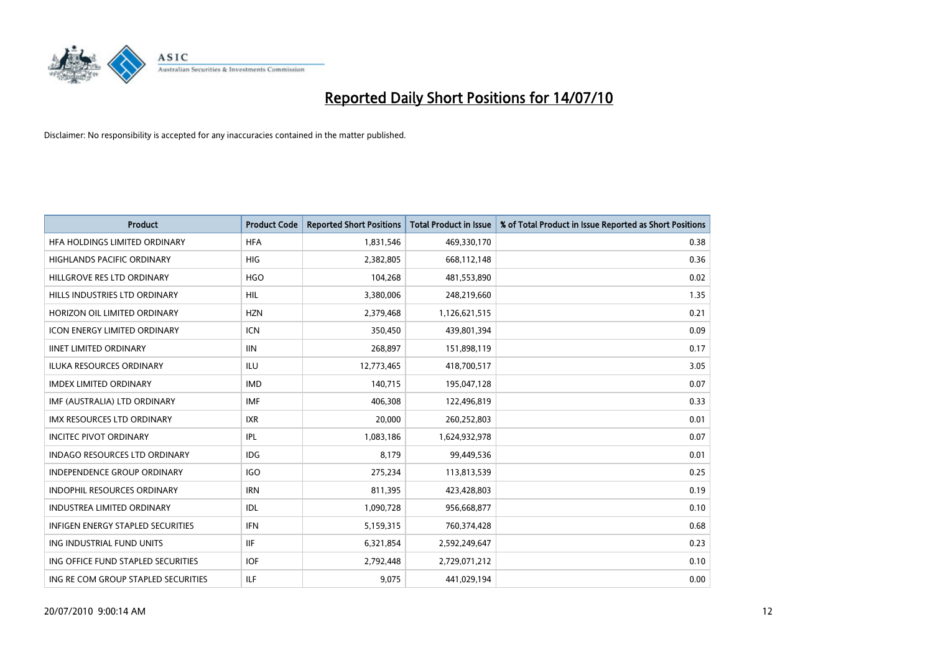

| <b>Product</b>                      | <b>Product Code</b> | <b>Reported Short Positions</b> | <b>Total Product in Issue</b> | % of Total Product in Issue Reported as Short Positions |
|-------------------------------------|---------------------|---------------------------------|-------------------------------|---------------------------------------------------------|
| HFA HOLDINGS LIMITED ORDINARY       | <b>HFA</b>          | 1,831,546                       | 469,330,170                   | 0.38                                                    |
| HIGHLANDS PACIFIC ORDINARY          | <b>HIG</b>          | 2,382,805                       | 668,112,148                   | 0.36                                                    |
| HILLGROVE RES LTD ORDINARY          | <b>HGO</b>          | 104,268                         | 481,553,890                   | 0.02                                                    |
| HILLS INDUSTRIES LTD ORDINARY       | <b>HIL</b>          | 3,380,006                       | 248,219,660                   | 1.35                                                    |
| HORIZON OIL LIMITED ORDINARY        | <b>HZN</b>          | 2,379,468                       | 1,126,621,515                 | 0.21                                                    |
| <b>ICON ENERGY LIMITED ORDINARY</b> | <b>ICN</b>          | 350,450                         | 439,801,394                   | 0.09                                                    |
| <b>IINET LIMITED ORDINARY</b>       | <b>IIN</b>          | 268,897                         | 151,898,119                   | 0.17                                                    |
| ILUKA RESOURCES ORDINARY            | <b>ILU</b>          | 12,773,465                      | 418,700,517                   | 3.05                                                    |
| <b>IMDEX LIMITED ORDINARY</b>       | <b>IMD</b>          | 140,715                         | 195,047,128                   | 0.07                                                    |
| IMF (AUSTRALIA) LTD ORDINARY        | <b>IMF</b>          | 406,308                         | 122,496,819                   | 0.33                                                    |
| IMX RESOURCES LTD ORDINARY          | <b>IXR</b>          | 20,000                          | 260,252,803                   | 0.01                                                    |
| <b>INCITEC PIVOT ORDINARY</b>       | <b>IPL</b>          | 1,083,186                       | 1,624,932,978                 | 0.07                                                    |
| INDAGO RESOURCES LTD ORDINARY       | <b>IDG</b>          | 8,179                           | 99,449,536                    | 0.01                                                    |
| <b>INDEPENDENCE GROUP ORDINARY</b>  | <b>IGO</b>          | 275,234                         | 113,813,539                   | 0.25                                                    |
| <b>INDOPHIL RESOURCES ORDINARY</b>  | <b>IRN</b>          | 811,395                         | 423,428,803                   | 0.19                                                    |
| <b>INDUSTREA LIMITED ORDINARY</b>   | IDL                 | 1,090,728                       | 956,668,877                   | 0.10                                                    |
| INFIGEN ENERGY STAPLED SECURITIES   | <b>IFN</b>          | 5,159,315                       | 760,374,428                   | 0.68                                                    |
| ING INDUSTRIAL FUND UNITS           | <b>IIF</b>          | 6,321,854                       | 2,592,249,647                 | 0.23                                                    |
| ING OFFICE FUND STAPLED SECURITIES  | <b>IOF</b>          | 2,792,448                       | 2,729,071,212                 | 0.10                                                    |
| ING RE COM GROUP STAPLED SECURITIES | <b>ILF</b>          | 9,075                           | 441,029,194                   | 0.00                                                    |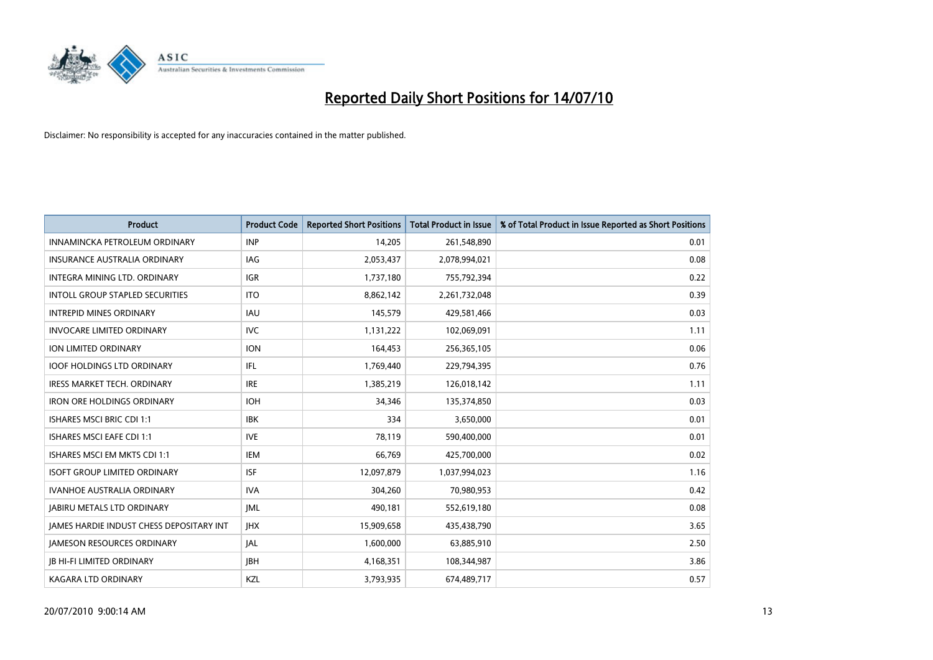

| <b>Product</b>                                  | <b>Product Code</b> | <b>Reported Short Positions</b> | <b>Total Product in Issue</b> | % of Total Product in Issue Reported as Short Positions |
|-------------------------------------------------|---------------------|---------------------------------|-------------------------------|---------------------------------------------------------|
| INNAMINCKA PETROLEUM ORDINARY                   | <b>INP</b>          | 14,205                          | 261,548,890                   | 0.01                                                    |
| INSURANCE AUSTRALIA ORDINARY                    | IAG                 | 2,053,437                       | 2,078,994,021                 | 0.08                                                    |
| INTEGRA MINING LTD, ORDINARY                    | <b>IGR</b>          | 1,737,180                       | 755,792,394                   | 0.22                                                    |
| INTOLL GROUP STAPLED SECURITIES                 | <b>ITO</b>          | 8,862,142                       | 2,261,732,048                 | 0.39                                                    |
| <b>INTREPID MINES ORDINARY</b>                  | <b>IAU</b>          | 145,579                         | 429,581,466                   | 0.03                                                    |
| <b>INVOCARE LIMITED ORDINARY</b>                | <b>IVC</b>          | 1,131,222                       | 102,069,091                   | 1.11                                                    |
| ION LIMITED ORDINARY                            | <b>ION</b>          | 164,453                         | 256,365,105                   | 0.06                                                    |
| <b>IOOF HOLDINGS LTD ORDINARY</b>               | IFL.                | 1,769,440                       | 229,794,395                   | 0.76                                                    |
| <b>IRESS MARKET TECH. ORDINARY</b>              | <b>IRE</b>          | 1,385,219                       | 126,018,142                   | 1.11                                                    |
| <b>IRON ORE HOLDINGS ORDINARY</b>               | <b>IOH</b>          | 34,346                          | 135,374,850                   | 0.03                                                    |
| ISHARES MSCI BRIC CDI 1:1                       | <b>IBK</b>          | 334                             | 3,650,000                     | 0.01                                                    |
| <b>ISHARES MSCI EAFE CDI 1:1</b>                | <b>IVE</b>          | 78,119                          | 590,400,000                   | 0.01                                                    |
| ISHARES MSCI EM MKTS CDI 1:1                    | <b>IEM</b>          | 66,769                          | 425,700,000                   | 0.02                                                    |
| <b>ISOFT GROUP LIMITED ORDINARY</b>             | <b>ISF</b>          | 12,097,879                      | 1,037,994,023                 | 1.16                                                    |
| <b>IVANHOE AUSTRALIA ORDINARY</b>               | <b>IVA</b>          | 304,260                         | 70,980,953                    | 0.42                                                    |
| <b>JABIRU METALS LTD ORDINARY</b>               | <b>JML</b>          | 490,181                         | 552,619,180                   | 0.08                                                    |
| <b>JAMES HARDIE INDUST CHESS DEPOSITARY INT</b> | <b>IHX</b>          | 15,909,658                      | 435,438,790                   | 3.65                                                    |
| JAMESON RESOURCES ORDINARY                      | JAL                 | 1,600,000                       | 63,885,910                    | 2.50                                                    |
| <b>IB HI-FI LIMITED ORDINARY</b>                | <b>IBH</b>          | 4,168,351                       | 108,344,987                   | 3.86                                                    |
| <b>KAGARA LTD ORDINARY</b>                      | KZL                 | 3,793,935                       | 674,489,717                   | 0.57                                                    |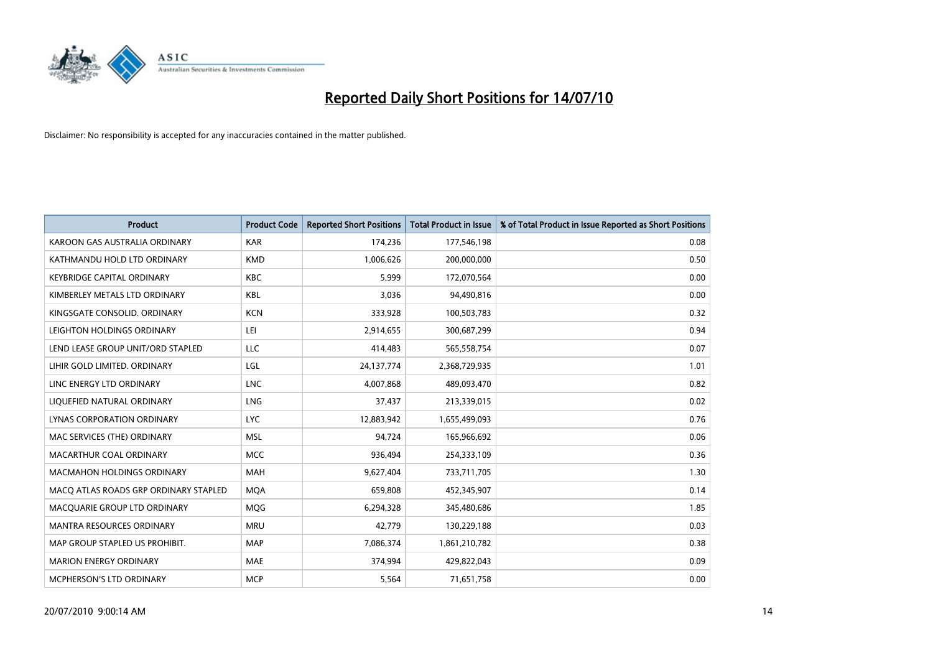

| <b>Product</b>                        | <b>Product Code</b> | <b>Reported Short Positions</b> | <b>Total Product in Issue</b> | % of Total Product in Issue Reported as Short Positions |
|---------------------------------------|---------------------|---------------------------------|-------------------------------|---------------------------------------------------------|
| KAROON GAS AUSTRALIA ORDINARY         | <b>KAR</b>          | 174,236                         | 177,546,198                   | 0.08                                                    |
| KATHMANDU HOLD LTD ORDINARY           | <b>KMD</b>          | 1,006,626                       | 200,000,000                   | 0.50                                                    |
| <b>KEYBRIDGE CAPITAL ORDINARY</b>     | <b>KBC</b>          | 5,999                           | 172,070,564                   | 0.00                                                    |
| KIMBERLEY METALS LTD ORDINARY         | <b>KBL</b>          | 3,036                           | 94,490,816                    | 0.00                                                    |
| KINGSGATE CONSOLID, ORDINARY          | <b>KCN</b>          | 333,928                         | 100,503,783                   | 0.32                                                    |
| LEIGHTON HOLDINGS ORDINARY            | LEI                 | 2,914,655                       | 300,687,299                   | 0.94                                                    |
| LEND LEASE GROUP UNIT/ORD STAPLED     | LLC                 | 414,483                         | 565,558,754                   | 0.07                                                    |
| LIHIR GOLD LIMITED. ORDINARY          | LGL                 | 24,137,774                      | 2,368,729,935                 | 1.01                                                    |
| LINC ENERGY LTD ORDINARY              | <b>LNC</b>          | 4,007,868                       | 489,093,470                   | 0.82                                                    |
| LIOUEFIED NATURAL ORDINARY            | <b>LNG</b>          | 37,437                          | 213,339,015                   | 0.02                                                    |
| LYNAS CORPORATION ORDINARY            | <b>LYC</b>          | 12,883,942                      | 1,655,499,093                 | 0.76                                                    |
| MAC SERVICES (THE) ORDINARY           | <b>MSL</b>          | 94,724                          | 165,966,692                   | 0.06                                                    |
| MACARTHUR COAL ORDINARY               | <b>MCC</b>          | 936,494                         | 254,333,109                   | 0.36                                                    |
| <b>MACMAHON HOLDINGS ORDINARY</b>     | <b>MAH</b>          | 9,627,404                       | 733,711,705                   | 1.30                                                    |
| MACO ATLAS ROADS GRP ORDINARY STAPLED | <b>MOA</b>          | 659.808                         | 452,345,907                   | 0.14                                                    |
| MACQUARIE GROUP LTD ORDINARY          | MQG                 | 6,294,328                       | 345,480,686                   | 1.85                                                    |
| MANTRA RESOURCES ORDINARY             | <b>MRU</b>          | 42,779                          | 130,229,188                   | 0.03                                                    |
| MAP GROUP STAPLED US PROHIBIT.        | <b>MAP</b>          | 7,086,374                       | 1,861,210,782                 | 0.38                                                    |
| <b>MARION ENERGY ORDINARY</b>         | <b>MAE</b>          | 374,994                         | 429,822,043                   | 0.09                                                    |
| MCPHERSON'S LTD ORDINARY              | <b>MCP</b>          | 5,564                           | 71,651,758                    | 0.00                                                    |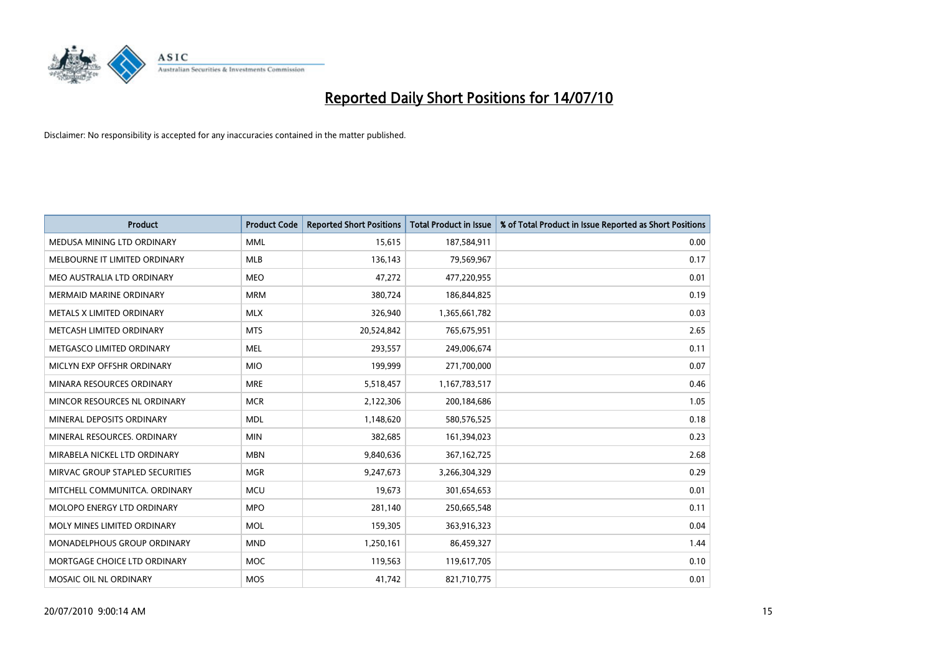

| <b>Product</b>                    | <b>Product Code</b> | <b>Reported Short Positions</b> | Total Product in Issue | % of Total Product in Issue Reported as Short Positions |
|-----------------------------------|---------------------|---------------------------------|------------------------|---------------------------------------------------------|
| MEDUSA MINING LTD ORDINARY        | <b>MML</b>          | 15,615                          | 187,584,911            | 0.00                                                    |
| MELBOURNE IT LIMITED ORDINARY     | <b>MLB</b>          | 136,143                         | 79,569,967             | 0.17                                                    |
| MEO AUSTRALIA LTD ORDINARY        | <b>MEO</b>          | 47,272                          | 477,220,955            | 0.01                                                    |
| <b>MERMAID MARINE ORDINARY</b>    | <b>MRM</b>          | 380,724                         | 186,844,825            | 0.19                                                    |
| METALS X LIMITED ORDINARY         | <b>MLX</b>          | 326,940                         | 1,365,661,782          | 0.03                                                    |
| METCASH LIMITED ORDINARY          | <b>MTS</b>          | 20,524,842                      | 765,675,951            | 2.65                                                    |
| METGASCO LIMITED ORDINARY         | <b>MEL</b>          | 293,557                         | 249,006,674            | 0.11                                                    |
| MICLYN EXP OFFSHR ORDINARY        | <b>MIO</b>          | 199,999                         | 271,700,000            | 0.07                                                    |
| MINARA RESOURCES ORDINARY         | <b>MRE</b>          | 5,518,457                       | 1,167,783,517          | 0.46                                                    |
| MINCOR RESOURCES NL ORDINARY      | <b>MCR</b>          | 2,122,306                       | 200,184,686            | 1.05                                                    |
| MINERAL DEPOSITS ORDINARY         | <b>MDL</b>          | 1,148,620                       | 580,576,525            | 0.18                                                    |
| MINERAL RESOURCES, ORDINARY       | <b>MIN</b>          | 382,685                         | 161,394,023            | 0.23                                                    |
| MIRABELA NICKEL LTD ORDINARY      | <b>MBN</b>          | 9,840,636                       | 367,162,725            | 2.68                                                    |
| MIRVAC GROUP STAPLED SECURITIES   | <b>MGR</b>          | 9,247,673                       | 3,266,304,329          | 0.29                                                    |
| MITCHELL COMMUNITCA, ORDINARY     | <b>MCU</b>          | 19,673                          | 301,654,653            | 0.01                                                    |
| <b>MOLOPO ENERGY LTD ORDINARY</b> | <b>MPO</b>          | 281,140                         | 250,665,548            | 0.11                                                    |
| MOLY MINES LIMITED ORDINARY       | <b>MOL</b>          | 159,305                         | 363,916,323            | 0.04                                                    |
| MONADELPHOUS GROUP ORDINARY       | <b>MND</b>          | 1,250,161                       | 86,459,327             | 1.44                                                    |
| MORTGAGE CHOICE LTD ORDINARY      | MOC                 | 119,563                         | 119,617,705            | 0.10                                                    |
| MOSAIC OIL NL ORDINARY            | <b>MOS</b>          | 41,742                          | 821,710,775            | 0.01                                                    |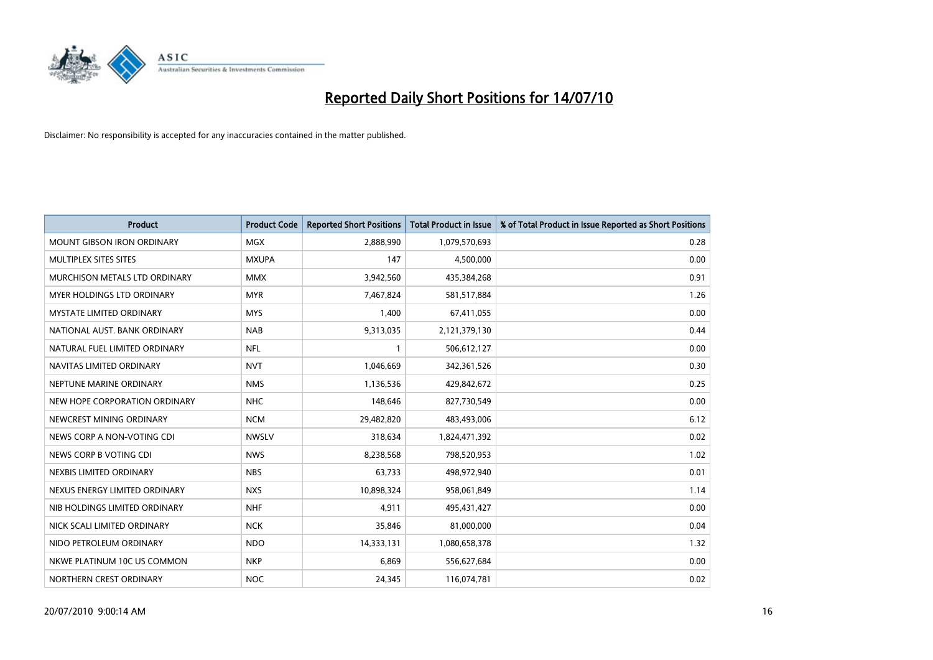

| <b>Product</b>                    | <b>Product Code</b> | <b>Reported Short Positions</b> | <b>Total Product in Issue</b> | % of Total Product in Issue Reported as Short Positions |
|-----------------------------------|---------------------|---------------------------------|-------------------------------|---------------------------------------------------------|
| <b>MOUNT GIBSON IRON ORDINARY</b> | <b>MGX</b>          | 2,888,990                       | 1,079,570,693                 | 0.28                                                    |
| MULTIPLEX SITES SITES             | <b>MXUPA</b>        | 147                             | 4,500,000                     | 0.00                                                    |
| MURCHISON METALS LTD ORDINARY     | <b>MMX</b>          | 3,942,560                       | 435,384,268                   | 0.91                                                    |
| MYER HOLDINGS LTD ORDINARY        | <b>MYR</b>          | 7,467,824                       | 581,517,884                   | 1.26                                                    |
| <b>MYSTATE LIMITED ORDINARY</b>   | <b>MYS</b>          | 1,400                           | 67,411,055                    | 0.00                                                    |
| NATIONAL AUST. BANK ORDINARY      | <b>NAB</b>          | 9,313,035                       | 2,121,379,130                 | 0.44                                                    |
| NATURAL FUEL LIMITED ORDINARY     | <b>NFL</b>          |                                 | 506,612,127                   | 0.00                                                    |
| NAVITAS LIMITED ORDINARY          | <b>NVT</b>          | 1,046,669                       | 342,361,526                   | 0.30                                                    |
| NEPTUNE MARINE ORDINARY           | <b>NMS</b>          | 1,136,536                       | 429,842,672                   | 0.25                                                    |
| NEW HOPE CORPORATION ORDINARY     | <b>NHC</b>          | 148,646                         | 827,730,549                   | 0.00                                                    |
| NEWCREST MINING ORDINARY          | <b>NCM</b>          | 29,482,820                      | 483,493,006                   | 6.12                                                    |
| NEWS CORP A NON-VOTING CDI        | <b>NWSLV</b>        | 318,634                         | 1,824,471,392                 | 0.02                                                    |
| NEWS CORP B VOTING CDI            | <b>NWS</b>          | 8,238,568                       | 798,520,953                   | 1.02                                                    |
| NEXBIS LIMITED ORDINARY           | <b>NBS</b>          | 63,733                          | 498,972,940                   | 0.01                                                    |
| NEXUS ENERGY LIMITED ORDINARY     | <b>NXS</b>          | 10,898,324                      | 958,061,849                   | 1.14                                                    |
| NIB HOLDINGS LIMITED ORDINARY     | <b>NHF</b>          | 4,911                           | 495,431,427                   | 0.00                                                    |
| NICK SCALI LIMITED ORDINARY       | <b>NCK</b>          | 35,846                          | 81,000,000                    | 0.04                                                    |
| NIDO PETROLEUM ORDINARY           | <b>NDO</b>          | 14,333,131                      | 1,080,658,378                 | 1.32                                                    |
| NKWE PLATINUM 10C US COMMON       | <b>NKP</b>          | 6,869                           | 556,627,684                   | 0.00                                                    |
| NORTHERN CREST ORDINARY           | <b>NOC</b>          | 24,345                          | 116,074,781                   | 0.02                                                    |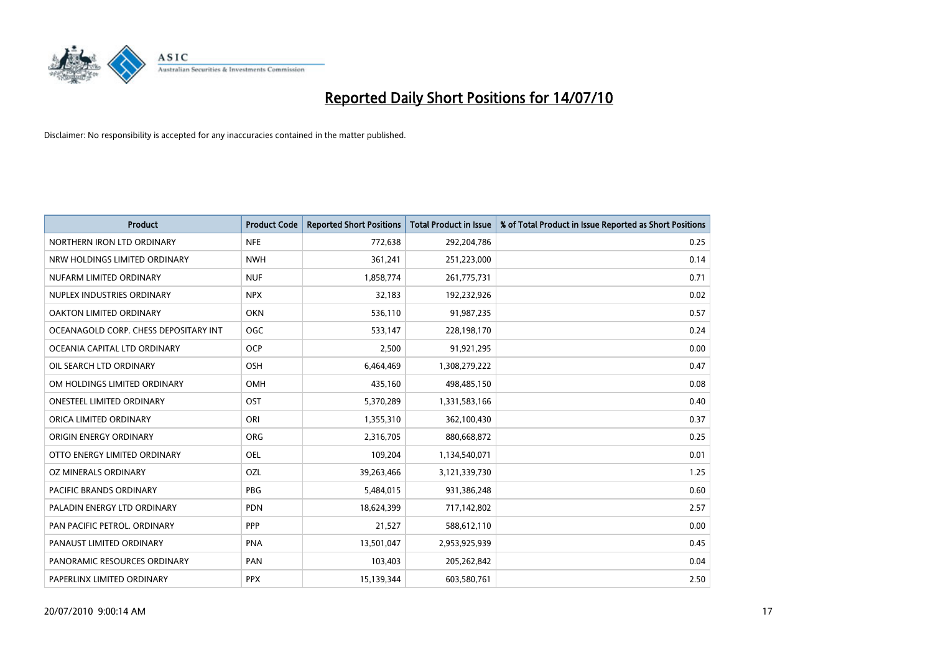

| <b>Product</b>                        | <b>Product Code</b> | <b>Reported Short Positions</b> | <b>Total Product in Issue</b> | % of Total Product in Issue Reported as Short Positions |
|---------------------------------------|---------------------|---------------------------------|-------------------------------|---------------------------------------------------------|
| NORTHERN IRON LTD ORDINARY            | <b>NFE</b>          | 772,638                         | 292,204,786                   | 0.25                                                    |
| NRW HOLDINGS LIMITED ORDINARY         | <b>NWH</b>          | 361,241                         | 251,223,000                   | 0.14                                                    |
| NUFARM LIMITED ORDINARY               | <b>NUF</b>          | 1,858,774                       | 261,775,731                   | 0.71                                                    |
| NUPLEX INDUSTRIES ORDINARY            | <b>NPX</b>          | 32,183                          | 192,232,926                   | 0.02                                                    |
| OAKTON LIMITED ORDINARY               | <b>OKN</b>          | 536,110                         | 91,987,235                    | 0.57                                                    |
| OCEANAGOLD CORP. CHESS DEPOSITARY INT | <b>OGC</b>          | 533,147                         | 228,198,170                   | 0.24                                                    |
| OCEANIA CAPITAL LTD ORDINARY          | <b>OCP</b>          | 2,500                           | 91,921,295                    | 0.00                                                    |
| OIL SEARCH LTD ORDINARY               | <b>OSH</b>          | 6,464,469                       | 1,308,279,222                 | 0.47                                                    |
| OM HOLDINGS LIMITED ORDINARY          | <b>OMH</b>          | 435,160                         | 498,485,150                   | 0.08                                                    |
| <b>ONESTEEL LIMITED ORDINARY</b>      | <b>OST</b>          | 5,370,289                       | 1,331,583,166                 | 0.40                                                    |
| ORICA LIMITED ORDINARY                | ORI                 | 1,355,310                       | 362,100,430                   | 0.37                                                    |
| <b>ORIGIN ENERGY ORDINARY</b>         | <b>ORG</b>          | 2,316,705                       | 880,668,872                   | 0.25                                                    |
| OTTO ENERGY LIMITED ORDINARY          | <b>OEL</b>          | 109,204                         | 1,134,540,071                 | 0.01                                                    |
| OZ MINERALS ORDINARY                  | OZL                 | 39,263,466                      | 3,121,339,730                 | 1.25                                                    |
| <b>PACIFIC BRANDS ORDINARY</b>        | PBG                 | 5,484,015                       | 931,386,248                   | 0.60                                                    |
| PALADIN ENERGY LTD ORDINARY           | <b>PDN</b>          | 18,624,399                      | 717,142,802                   | 2.57                                                    |
| PAN PACIFIC PETROL. ORDINARY          | PPP                 | 21,527                          | 588,612,110                   | 0.00                                                    |
| PANAUST LIMITED ORDINARY              | <b>PNA</b>          | 13,501,047                      | 2,953,925,939                 | 0.45                                                    |
| PANORAMIC RESOURCES ORDINARY          | PAN                 | 103,403                         | 205,262,842                   | 0.04                                                    |
| PAPERLINX LIMITED ORDINARY            | <b>PPX</b>          | 15,139,344                      | 603,580,761                   | 2.50                                                    |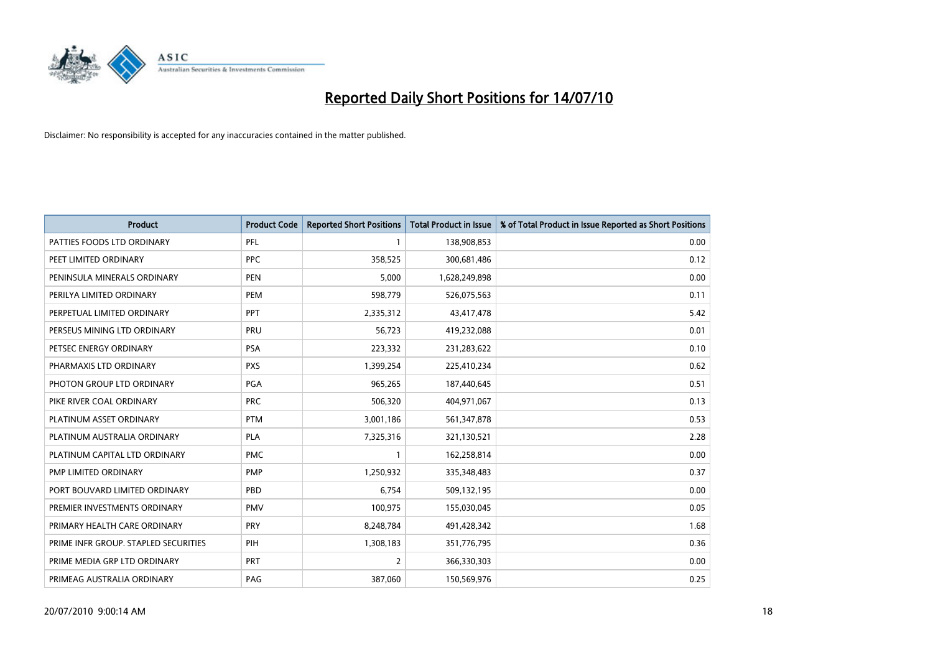

| <b>Product</b>                       | <b>Product Code</b> | <b>Reported Short Positions</b> | Total Product in Issue | % of Total Product in Issue Reported as Short Positions |
|--------------------------------------|---------------------|---------------------------------|------------------------|---------------------------------------------------------|
| PATTIES FOODS LTD ORDINARY           | PFL                 |                                 | 138,908,853            | 0.00                                                    |
| PEET LIMITED ORDINARY                | <b>PPC</b>          | 358,525                         | 300,681,486            | 0.12                                                    |
| PENINSULA MINERALS ORDINARY          | <b>PEN</b>          | 5,000                           | 1,628,249,898          | 0.00                                                    |
| PERILYA LIMITED ORDINARY             | PEM                 | 598,779                         | 526,075,563            | 0.11                                                    |
| PERPETUAL LIMITED ORDINARY           | <b>PPT</b>          | 2,335,312                       | 43,417,478             | 5.42                                                    |
| PERSEUS MINING LTD ORDINARY          | PRU                 | 56,723                          | 419,232,088            | 0.01                                                    |
| PETSEC ENERGY ORDINARY               | <b>PSA</b>          | 223,332                         | 231,283,622            | 0.10                                                    |
| PHARMAXIS LTD ORDINARY               | <b>PXS</b>          | 1,399,254                       | 225,410,234            | 0.62                                                    |
| PHOTON GROUP LTD ORDINARY            | PGA                 | 965,265                         | 187,440,645            | 0.51                                                    |
| PIKE RIVER COAL ORDINARY             | <b>PRC</b>          | 506,320                         | 404,971,067            | 0.13                                                    |
| PLATINUM ASSET ORDINARY              | <b>PTM</b>          | 3,001,186                       | 561,347,878            | 0.53                                                    |
| PLATINUM AUSTRALIA ORDINARY          | <b>PLA</b>          | 7,325,316                       | 321,130,521            | 2.28                                                    |
| PLATINUM CAPITAL LTD ORDINARY        | <b>PMC</b>          |                                 | 162,258,814            | 0.00                                                    |
| PMP LIMITED ORDINARY                 | <b>PMP</b>          | 1,250,932                       | 335,348,483            | 0.37                                                    |
| PORT BOUVARD LIMITED ORDINARY        | PBD                 | 6,754                           | 509,132,195            | 0.00                                                    |
| PREMIER INVESTMENTS ORDINARY         | <b>PMV</b>          | 100,975                         | 155,030,045            | 0.05                                                    |
| PRIMARY HEALTH CARE ORDINARY         | <b>PRY</b>          | 8,248,784                       | 491,428,342            | 1.68                                                    |
| PRIME INFR GROUP. STAPLED SECURITIES | PIH                 | 1,308,183                       | 351,776,795            | 0.36                                                    |
| PRIME MEDIA GRP LTD ORDINARY         | <b>PRT</b>          | $\overline{2}$                  | 366,330,303            | 0.00                                                    |
| PRIMEAG AUSTRALIA ORDINARY           | PAG                 | 387,060                         | 150,569,976            | 0.25                                                    |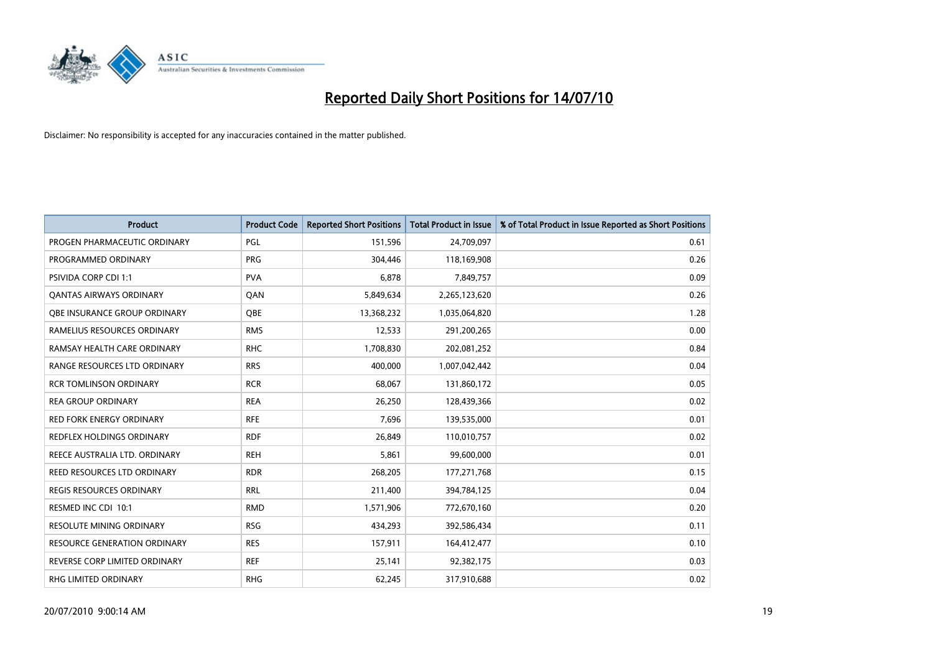

| <b>Product</b>                      | <b>Product Code</b> | <b>Reported Short Positions</b> | Total Product in Issue | % of Total Product in Issue Reported as Short Positions |
|-------------------------------------|---------------------|---------------------------------|------------------------|---------------------------------------------------------|
| PROGEN PHARMACEUTIC ORDINARY        | PGL                 | 151,596                         | 24,709,097             | 0.61                                                    |
| PROGRAMMED ORDINARY                 | <b>PRG</b>          | 304,446                         | 118,169,908            | 0.26                                                    |
| <b>PSIVIDA CORP CDI 1:1</b>         | <b>PVA</b>          | 6,878                           | 7,849,757              | 0.09                                                    |
| <b>QANTAS AIRWAYS ORDINARY</b>      | QAN                 | 5,849,634                       | 2,265,123,620          | 0.26                                                    |
| <b>QBE INSURANCE GROUP ORDINARY</b> | <b>OBE</b>          | 13,368,232                      | 1,035,064,820          | 1.28                                                    |
| RAMELIUS RESOURCES ORDINARY         | <b>RMS</b>          | 12,533                          | 291,200,265            | 0.00                                                    |
| RAMSAY HEALTH CARE ORDINARY         | <b>RHC</b>          | 1,708,830                       | 202,081,252            | 0.84                                                    |
| RANGE RESOURCES LTD ORDINARY        | <b>RRS</b>          | 400,000                         | 1,007,042,442          | 0.04                                                    |
| <b>RCR TOMLINSON ORDINARY</b>       | <b>RCR</b>          | 68,067                          | 131,860,172            | 0.05                                                    |
| <b>REA GROUP ORDINARY</b>           | <b>REA</b>          | 26,250                          | 128,439,366            | 0.02                                                    |
| RED FORK ENERGY ORDINARY            | <b>RFE</b>          | 7,696                           | 139,535,000            | 0.01                                                    |
| REDFLEX HOLDINGS ORDINARY           | <b>RDF</b>          | 26,849                          | 110,010,757            | 0.02                                                    |
| REECE AUSTRALIA LTD. ORDINARY       | <b>REH</b>          | 5,861                           | 99,600,000             | 0.01                                                    |
| REED RESOURCES LTD ORDINARY         | <b>RDR</b>          | 268,205                         | 177,271,768            | 0.15                                                    |
| <b>REGIS RESOURCES ORDINARY</b>     | <b>RRL</b>          | 211,400                         | 394,784,125            | 0.04                                                    |
| RESMED INC CDI 10:1                 | <b>RMD</b>          | 1,571,906                       | 772,670,160            | 0.20                                                    |
| RESOLUTE MINING ORDINARY            | <b>RSG</b>          | 434,293                         | 392,586,434            | 0.11                                                    |
| RESOURCE GENERATION ORDINARY        | <b>RES</b>          | 157,911                         | 164,412,477            | 0.10                                                    |
| REVERSE CORP LIMITED ORDINARY       | <b>REF</b>          | 25,141                          | 92,382,175             | 0.03                                                    |
| RHG LIMITED ORDINARY                | <b>RHG</b>          | 62,245                          | 317,910,688            | 0.02                                                    |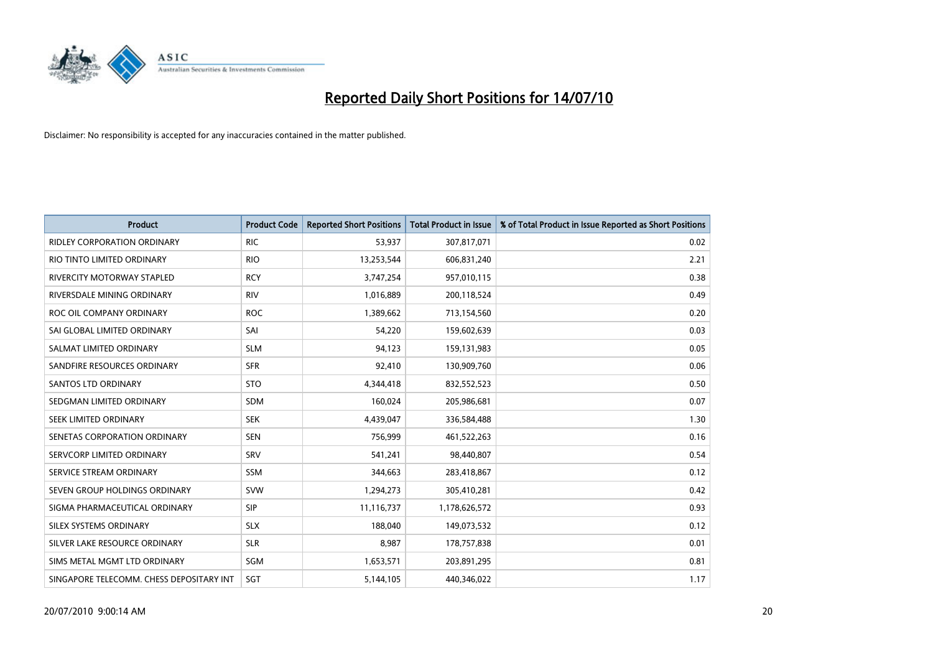

| <b>Product</b>                           | <b>Product Code</b> | <b>Reported Short Positions</b> | Total Product in Issue | % of Total Product in Issue Reported as Short Positions |
|------------------------------------------|---------------------|---------------------------------|------------------------|---------------------------------------------------------|
| <b>RIDLEY CORPORATION ORDINARY</b>       | <b>RIC</b>          | 53,937                          | 307,817,071            | 0.02                                                    |
| RIO TINTO LIMITED ORDINARY               | <b>RIO</b>          | 13,253,544                      | 606,831,240            | 2.21                                                    |
| RIVERCITY MOTORWAY STAPLED               | <b>RCY</b>          | 3,747,254                       | 957,010,115            | 0.38                                                    |
| RIVERSDALE MINING ORDINARY               | <b>RIV</b>          | 1,016,889                       | 200,118,524            | 0.49                                                    |
| ROC OIL COMPANY ORDINARY                 | <b>ROC</b>          | 1,389,662                       | 713,154,560            | 0.20                                                    |
| SAI GLOBAL LIMITED ORDINARY              | SAI                 | 54,220                          | 159,602,639            | 0.03                                                    |
| SALMAT LIMITED ORDINARY                  | <b>SLM</b>          | 94,123                          | 159,131,983            | 0.05                                                    |
| SANDFIRE RESOURCES ORDINARY              | <b>SFR</b>          | 92,410                          | 130,909,760            | 0.06                                                    |
| <b>SANTOS LTD ORDINARY</b>               | <b>STO</b>          | 4,344,418                       | 832,552,523            | 0.50                                                    |
| SEDGMAN LIMITED ORDINARY                 | <b>SDM</b>          | 160,024                         | 205,986,681            | 0.07                                                    |
| SEEK LIMITED ORDINARY                    | <b>SEK</b>          | 4,439,047                       | 336,584,488            | 1.30                                                    |
| SENETAS CORPORATION ORDINARY             | <b>SEN</b>          | 756,999                         | 461,522,263            | 0.16                                                    |
| SERVCORP LIMITED ORDINARY                | SRV                 | 541,241                         | 98,440,807             | 0.54                                                    |
| SERVICE STREAM ORDINARY                  | <b>SSM</b>          | 344,663                         | 283,418,867            | 0.12                                                    |
| SEVEN GROUP HOLDINGS ORDINARY            | <b>SVW</b>          | 1,294,273                       | 305,410,281            | 0.42                                                    |
| SIGMA PHARMACEUTICAL ORDINARY            | <b>SIP</b>          | 11,116,737                      | 1,178,626,572          | 0.93                                                    |
| <b>SILEX SYSTEMS ORDINARY</b>            | <b>SLX</b>          | 188,040                         | 149,073,532            | 0.12                                                    |
| SILVER LAKE RESOURCE ORDINARY            | <b>SLR</b>          | 8,987                           | 178,757,838            | 0.01                                                    |
| SIMS METAL MGMT LTD ORDINARY             | SGM                 | 1,653,571                       | 203,891,295            | 0.81                                                    |
| SINGAPORE TELECOMM. CHESS DEPOSITARY INT | SGT                 | 5,144,105                       | 440,346,022            | 1.17                                                    |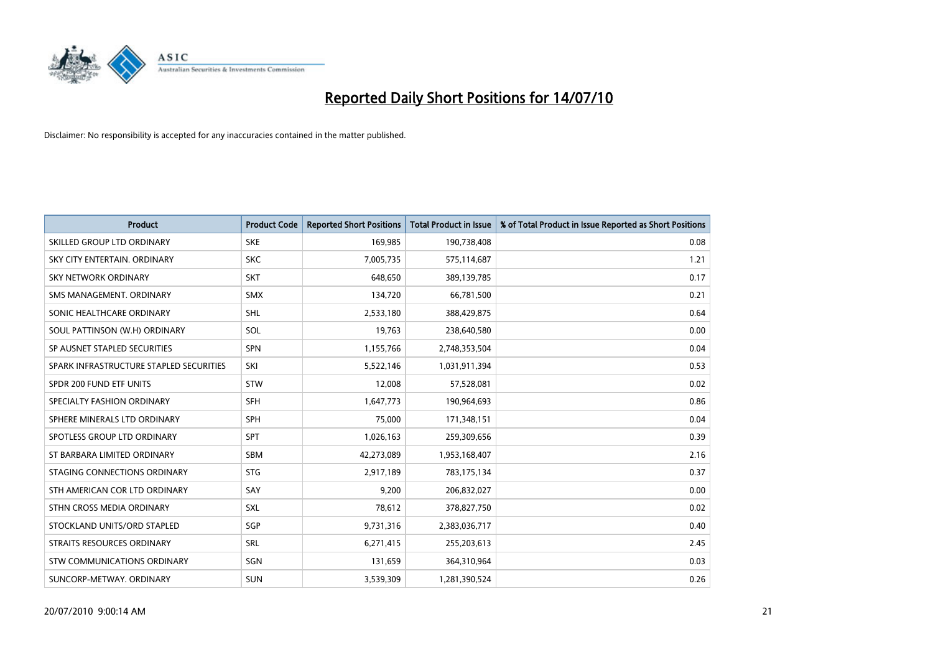

| <b>Product</b>                          | <b>Product Code</b> | <b>Reported Short Positions</b> | <b>Total Product in Issue</b> | % of Total Product in Issue Reported as Short Positions |
|-----------------------------------------|---------------------|---------------------------------|-------------------------------|---------------------------------------------------------|
| SKILLED GROUP LTD ORDINARY              | <b>SKE</b>          | 169,985                         | 190,738,408                   | 0.08                                                    |
| SKY CITY ENTERTAIN. ORDINARY            | <b>SKC</b>          | 7,005,735                       | 575,114,687                   | 1.21                                                    |
| <b>SKY NETWORK ORDINARY</b>             | <b>SKT</b>          | 648.650                         | 389,139,785                   | 0.17                                                    |
| SMS MANAGEMENT, ORDINARY                | <b>SMX</b>          | 134,720                         | 66,781,500                    | 0.21                                                    |
| SONIC HEALTHCARE ORDINARY               | <b>SHL</b>          | 2,533,180                       | 388,429,875                   | 0.64                                                    |
| SOUL PATTINSON (W.H) ORDINARY           | SOL                 | 19,763                          | 238,640,580                   | 0.00                                                    |
| SP AUSNET STAPLED SECURITIES            | SPN                 | 1,155,766                       | 2,748,353,504                 | 0.04                                                    |
| SPARK INFRASTRUCTURE STAPLED SECURITIES | SKI                 | 5,522,146                       | 1,031,911,394                 | 0.53                                                    |
| SPDR 200 FUND ETF UNITS                 | <b>STW</b>          | 12,008                          | 57,528,081                    | 0.02                                                    |
| SPECIALTY FASHION ORDINARY              | <b>SFH</b>          | 1,647,773                       | 190,964,693                   | 0.86                                                    |
| SPHERE MINERALS LTD ORDINARY            | <b>SPH</b>          | 75,000                          | 171,348,151                   | 0.04                                                    |
| SPOTLESS GROUP LTD ORDINARY             | SPT                 | 1,026,163                       | 259,309,656                   | 0.39                                                    |
| ST BARBARA LIMITED ORDINARY             | SBM                 | 42,273,089                      | 1,953,168,407                 | 2.16                                                    |
| STAGING CONNECTIONS ORDINARY            | <b>STG</b>          | 2,917,189                       | 783,175,134                   | 0.37                                                    |
| STH AMERICAN COR LTD ORDINARY           | SAY                 | 9,200                           | 206,832,027                   | 0.00                                                    |
| STHN CROSS MEDIA ORDINARY               | SXL                 | 78,612                          | 378,827,750                   | 0.02                                                    |
| STOCKLAND UNITS/ORD STAPLED             | SGP                 | 9,731,316                       | 2,383,036,717                 | 0.40                                                    |
| STRAITS RESOURCES ORDINARY              | SRL                 | 6,271,415                       | 255,203,613                   | 2.45                                                    |
| STW COMMUNICATIONS ORDINARY             | SGN                 | 131,659                         | 364,310,964                   | 0.03                                                    |
| SUNCORP-METWAY, ORDINARY                | <b>SUN</b>          | 3,539,309                       | 1,281,390,524                 | 0.26                                                    |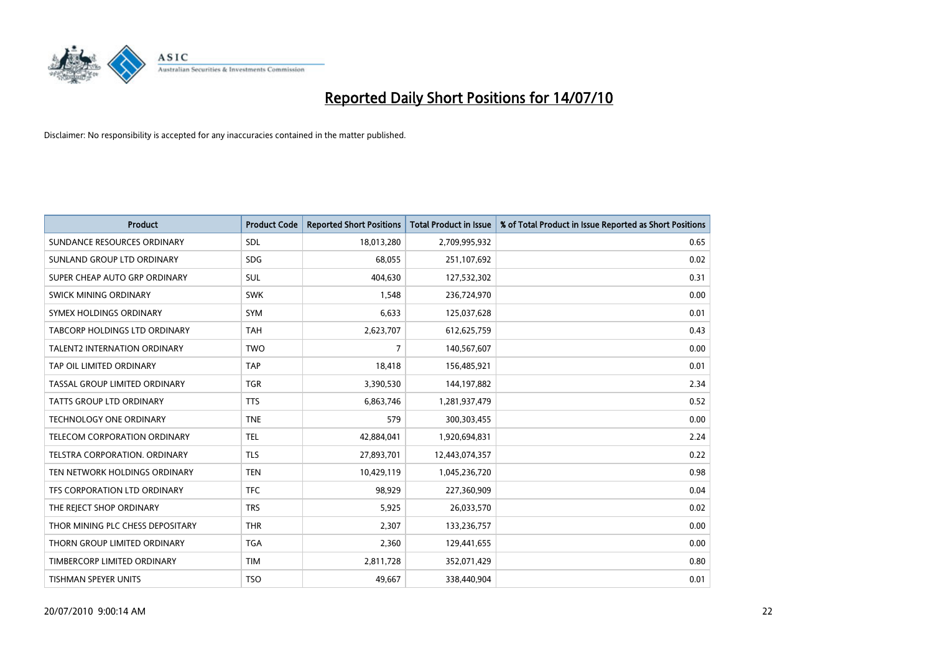

| <b>Product</b>                      | <b>Product Code</b> | <b>Reported Short Positions</b> | <b>Total Product in Issue</b> | % of Total Product in Issue Reported as Short Positions |
|-------------------------------------|---------------------|---------------------------------|-------------------------------|---------------------------------------------------------|
| SUNDANCE RESOURCES ORDINARY         | <b>SDL</b>          | 18,013,280                      | 2,709,995,932                 | 0.65                                                    |
| SUNLAND GROUP LTD ORDINARY          | <b>SDG</b>          | 68,055                          | 251,107,692                   | 0.02                                                    |
| SUPER CHEAP AUTO GRP ORDINARY       | <b>SUL</b>          | 404.630                         | 127,532,302                   | 0.31                                                    |
| SWICK MINING ORDINARY               | <b>SWK</b>          | 1,548                           | 236,724,970                   | 0.00                                                    |
| SYMEX HOLDINGS ORDINARY             | <b>SYM</b>          | 6,633                           | 125,037,628                   | 0.01                                                    |
| TABCORP HOLDINGS LTD ORDINARY       | <b>TAH</b>          | 2,623,707                       | 612,625,759                   | 0.43                                                    |
| <b>TALENT2 INTERNATION ORDINARY</b> | <b>TWO</b>          | 7                               | 140,567,607                   | 0.00                                                    |
| TAP OIL LIMITED ORDINARY            | <b>TAP</b>          | 18,418                          | 156,485,921                   | 0.01                                                    |
| TASSAL GROUP LIMITED ORDINARY       | <b>TGR</b>          | 3,390,530                       | 144,197,882                   | 2.34                                                    |
| <b>TATTS GROUP LTD ORDINARY</b>     | <b>TTS</b>          | 6,863,746                       | 1,281,937,479                 | 0.52                                                    |
| TECHNOLOGY ONE ORDINARY             | <b>TNE</b>          | 579                             | 300,303,455                   | 0.00                                                    |
| TELECOM CORPORATION ORDINARY        | <b>TEL</b>          | 42,884,041                      | 1,920,694,831                 | 2.24                                                    |
| TELSTRA CORPORATION. ORDINARY       | <b>TLS</b>          | 27,893,701                      | 12,443,074,357                | 0.22                                                    |
| TEN NETWORK HOLDINGS ORDINARY       | <b>TEN</b>          | 10,429,119                      | 1,045,236,720                 | 0.98                                                    |
| TFS CORPORATION LTD ORDINARY        | <b>TFC</b>          | 98,929                          | 227,360,909                   | 0.04                                                    |
| THE REJECT SHOP ORDINARY            | <b>TRS</b>          | 5,925                           | 26,033,570                    | 0.02                                                    |
| THOR MINING PLC CHESS DEPOSITARY    | <b>THR</b>          | 2,307                           | 133,236,757                   | 0.00                                                    |
| THORN GROUP LIMITED ORDINARY        | <b>TGA</b>          | 2,360                           | 129,441,655                   | 0.00                                                    |
| TIMBERCORP LIMITED ORDINARY         | <b>TIM</b>          | 2,811,728                       | 352,071,429                   | 0.80                                                    |
| TISHMAN SPEYER UNITS                | <b>TSO</b>          | 49,667                          | 338,440,904                   | 0.01                                                    |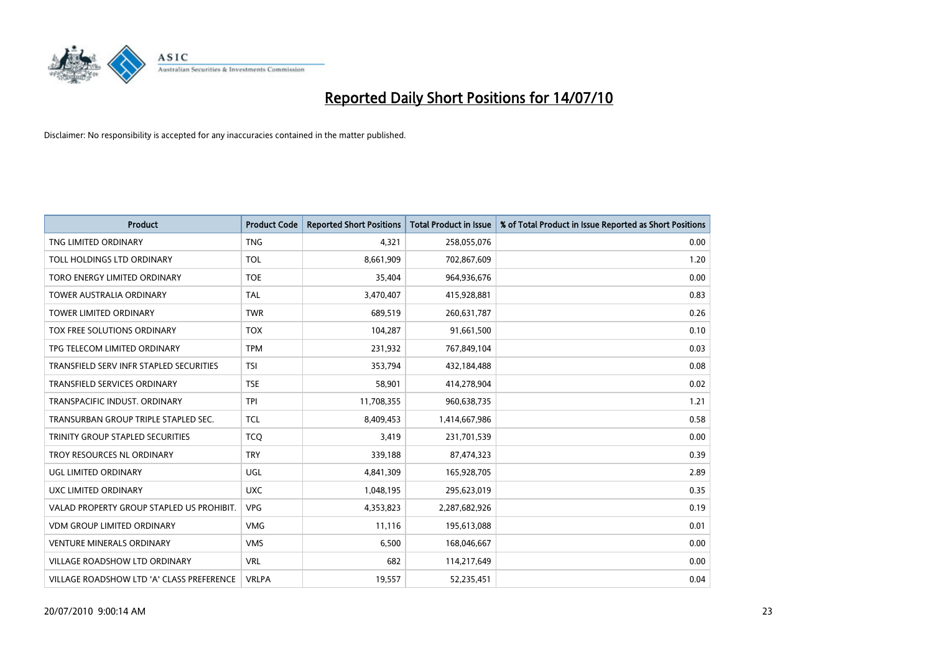

| <b>Product</b>                            | <b>Product Code</b> | <b>Reported Short Positions</b> | <b>Total Product in Issue</b> | % of Total Product in Issue Reported as Short Positions |
|-------------------------------------------|---------------------|---------------------------------|-------------------------------|---------------------------------------------------------|
| TNG LIMITED ORDINARY                      | <b>TNG</b>          | 4,321                           | 258,055,076                   | 0.00                                                    |
| TOLL HOLDINGS LTD ORDINARY                | <b>TOL</b>          | 8.661.909                       | 702,867,609                   | 1.20                                                    |
| TORO ENERGY LIMITED ORDINARY              | <b>TOE</b>          | 35,404                          | 964,936,676                   | 0.00                                                    |
| TOWER AUSTRALIA ORDINARY                  | <b>TAL</b>          | 3,470,407                       | 415,928,881                   | 0.83                                                    |
| <b>TOWER LIMITED ORDINARY</b>             | <b>TWR</b>          | 689,519                         | 260,631,787                   | 0.26                                                    |
| TOX FREE SOLUTIONS ORDINARY               | <b>TOX</b>          | 104,287                         | 91,661,500                    | 0.10                                                    |
| TPG TELECOM LIMITED ORDINARY              | <b>TPM</b>          | 231,932                         | 767,849,104                   | 0.03                                                    |
| TRANSFIELD SERV INFR STAPLED SECURITIES   | <b>TSI</b>          | 353,794                         | 432,184,488                   | 0.08                                                    |
| TRANSFIELD SERVICES ORDINARY              | <b>TSE</b>          | 58,901                          | 414,278,904                   | 0.02                                                    |
| TRANSPACIFIC INDUST, ORDINARY             | <b>TPI</b>          | 11,708,355                      | 960,638,735                   | 1.21                                                    |
| TRANSURBAN GROUP TRIPLE STAPLED SEC.      | <b>TCL</b>          | 8,409,453                       | 1,414,667,986                 | 0.58                                                    |
| TRINITY GROUP STAPLED SECURITIES          | <b>TCQ</b>          | 3,419                           | 231,701,539                   | 0.00                                                    |
| TROY RESOURCES NL ORDINARY                | <b>TRY</b>          | 339,188                         | 87,474,323                    | 0.39                                                    |
| UGL LIMITED ORDINARY                      | UGL                 | 4,841,309                       | 165,928,705                   | 2.89                                                    |
| UXC LIMITED ORDINARY                      | <b>UXC</b>          | 1,048,195                       | 295,623,019                   | 0.35                                                    |
| VALAD PROPERTY GROUP STAPLED US PROHIBIT. | <b>VPG</b>          | 4,353,823                       | 2,287,682,926                 | 0.19                                                    |
| <b>VDM GROUP LIMITED ORDINARY</b>         | <b>VMG</b>          | 11,116                          | 195,613,088                   | 0.01                                                    |
| <b>VENTURE MINERALS ORDINARY</b>          | <b>VMS</b>          | 6,500                           | 168,046,667                   | 0.00                                                    |
| <b>VILLAGE ROADSHOW LTD ORDINARY</b>      | <b>VRL</b>          | 682                             | 114,217,649                   | 0.00                                                    |
| VILLAGE ROADSHOW LTD 'A' CLASS PREFERENCE | <b>VRLPA</b>        | 19,557                          | 52,235,451                    | 0.04                                                    |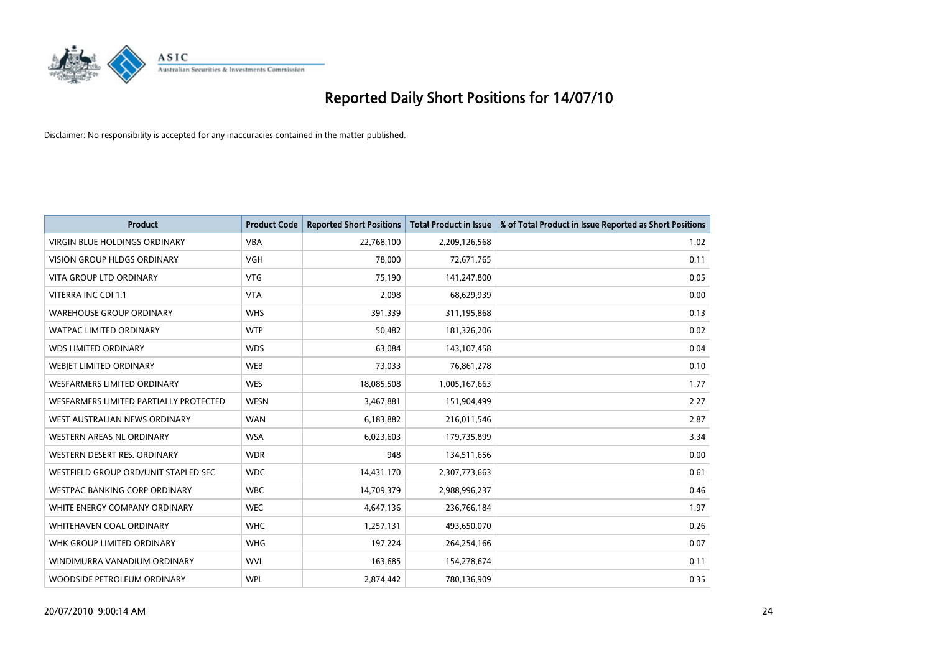

| <b>Product</b>                         | <b>Product Code</b> | <b>Reported Short Positions</b> | <b>Total Product in Issue</b> | % of Total Product in Issue Reported as Short Positions |
|----------------------------------------|---------------------|---------------------------------|-------------------------------|---------------------------------------------------------|
| <b>VIRGIN BLUE HOLDINGS ORDINARY</b>   | <b>VBA</b>          | 22,768,100                      | 2,209,126,568                 | 1.02                                                    |
| VISION GROUP HLDGS ORDINARY            | <b>VGH</b>          | 78,000                          | 72,671,765                    | 0.11                                                    |
| <b>VITA GROUP LTD ORDINARY</b>         | <b>VTG</b>          | 75.190                          | 141,247,800                   | 0.05                                                    |
| VITERRA INC CDI 1:1                    | <b>VTA</b>          | 2,098                           | 68,629,939                    | 0.00                                                    |
| <b>WAREHOUSE GROUP ORDINARY</b>        | <b>WHS</b>          | 391,339                         | 311,195,868                   | 0.13                                                    |
| <b>WATPAC LIMITED ORDINARY</b>         | <b>WTP</b>          | 50,482                          | 181,326,206                   | 0.02                                                    |
| <b>WDS LIMITED ORDINARY</b>            | <b>WDS</b>          | 63,084                          | 143,107,458                   | 0.04                                                    |
| WEBJET LIMITED ORDINARY                | <b>WEB</b>          | 73,033                          | 76,861,278                    | 0.10                                                    |
| <b>WESFARMERS LIMITED ORDINARY</b>     | <b>WES</b>          | 18,085,508                      | 1,005,167,663                 | 1.77                                                    |
| WESFARMERS LIMITED PARTIALLY PROTECTED | <b>WESN</b>         | 3,467,881                       | 151,904,499                   | 2.27                                                    |
| WEST AUSTRALIAN NEWS ORDINARY          | <b>WAN</b>          | 6,183,882                       | 216,011,546                   | 2.87                                                    |
| WESTERN AREAS NL ORDINARY              | <b>WSA</b>          | 6,023,603                       | 179,735,899                   | 3.34                                                    |
| WESTERN DESERT RES. ORDINARY           | <b>WDR</b>          | 948                             | 134,511,656                   | 0.00                                                    |
| WESTFIELD GROUP ORD/UNIT STAPLED SEC   | <b>WDC</b>          | 14,431,170                      | 2,307,773,663                 | 0.61                                                    |
| <b>WESTPAC BANKING CORP ORDINARY</b>   | <b>WBC</b>          | 14,709,379                      | 2,988,996,237                 | 0.46                                                    |
| WHITE ENERGY COMPANY ORDINARY          | <b>WEC</b>          | 4,647,136                       | 236,766,184                   | 1.97                                                    |
| WHITEHAVEN COAL ORDINARY               | <b>WHC</b>          | 1,257,131                       | 493,650,070                   | 0.26                                                    |
| WHK GROUP LIMITED ORDINARY             | <b>WHG</b>          | 197,224                         | 264,254,166                   | 0.07                                                    |
| WINDIMURRA VANADIUM ORDINARY           | <b>WVL</b>          | 163,685                         | 154,278,674                   | 0.11                                                    |
| WOODSIDE PETROLEUM ORDINARY            | <b>WPL</b>          | 2,874,442                       | 780,136,909                   | 0.35                                                    |